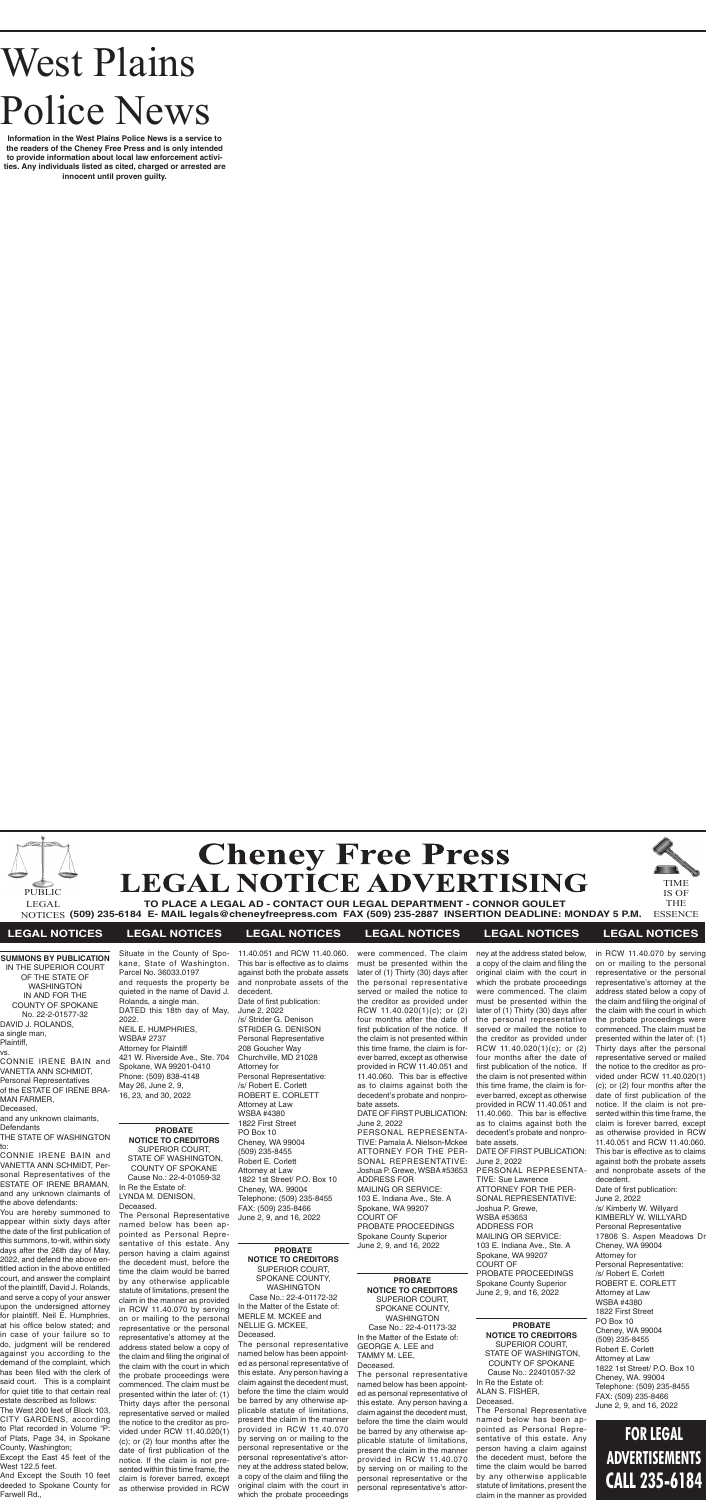# West Plains Police News

**Information in the West Plains Police News is a service to the readers of the Cheney Free Press and is only intended to provide information about local law enforcement activities. Any individuals listed as cited, charged or arrested are innocent until proven guilty.**



# **TO PLACE A LEGAL AD - CONTACT OUR LEGAL DEPARTMENT - CONNOR GOULET**

**(509) 235-6184 E- MAIL legals@cheneyfreepress.com FAX (509) 235-2887 INSERTION DEADLINE: MONDAY 5 P.M.** NOTICES IS OF THE ESSENCE

and any unknown claimants, **Defendants** 





## **LEGAL NOTICES LEGAL NOTICES LEGAL NOTICES LEGAL NOTICES LEGAL NOTICES LEGAL NOTICES**

#### **SUMMONS BY PUBLICATION** IN THE SUPERIOR COURT OF THE STATE OF WASHINGTON IN AND FOR THE COUNTY OF SPOKANE

No. 22-2-01577-32 DAVID J. ROLANDS, a single man,

Plaintiff, vs.

CONNIE IRENE BAIN and VANETTA ANN SCHMIDT, Personal Representatives of the ESTATE OF IRENE BRA-MAN FARMER,

Deceased,

THE STATE OF WASHINGTON to:

CONNIE IRENE BAIN and VANETTA ANN SCHMIDT, Personal Representatives of the ESTATE OF IRENE BRAMAN, and any unknown claimants of the above defendants:

You are hereby summoned to appear within sixty days after the date of the first publication of this summons, to-wit, within sixty days after the 26th day of May, 2022, and defend the above entitled action in the above entitled court, and answer the complaint of the plaintiff, David J. Rolands, and serve a copy of your answer upon the undersigned attorney for plaintiff, Neil E. Humphries, at his office below stated; and in case of your failure so to do, judgment will be rendered against you according to the demand of the complaint, which has been filed with the clerk of said court. This is a complaint for quiet title to that certain real estate described as follows:

The West 200 feet of Block 103, CITY GARDENS, according to Plat recorded in Volume "P of Plats, Page 34, in Spokane County, Washington;

Except the East 45 feet of the West 122.5 feet.

And Except the South 10 feet deeded to Spokane County for Farwell Rd.,

Situate in the County of Spokane, State of Washington. Parcel No. 36033.0197 and requests the property be quieted in the name of David J. Rolands, a single man. DATED this 18th day of May, 2022. NEIL E. HUMPHRIES, WSBA# 2737 Attorney for Plaintiff 421 W. Riverside Ave., Ste. 704 Spokane, WA 99201-0410 Phone: (509) 838-4148 May 26, June 2, 9, 16, 23, and 30, 2022

#### **PROBATE NOTICE TO CREDITORS** SUPERIOR COURT, STATE OF WASHINGTON, COUNTY OF SPOKANE Cause No.: 22-4-01059-32 In Re the Estate of: LYNDA M. DENISON, Deceased.

The Personal Representative named below has been appointed as Personal Representative of this estate. Any person having a claim against the decedent must, before the time the claim would be barred by any otherwise applicable statute of limitations, present the claim in the manner as provided in RCW 11.40.070 by serving on or mailing to the personal representative or the personal representative's attorney at the address stated below a copy of the claim and filing the original of the claim with the court in which the probate proceedings were commenced. The claim must be presented within the later of: (1) Thirty days after the personal representative served or mailed the notice to the creditor as provided under RCW 11.40.020(1) (c); or (2) four months after the date of first publication of the notice. If the claim is not presented within this time frame, the claim is forever barred, except as otherwise provided in RCW

11.40.051 and RCW 11.40.060. This bar is effective as to claims against both the probate assets and nonprobate assets of the decedent. Date of first publication: June 2, 2022 /s/ Strider G. Denison STRIDER G. DENISON Personal Representative 208 Goucher Way Churchville, MD 21028 Attorney for Personal Representative: /s/ Robert E. Corlett ROBERT E. CORLETT Attorney at Law WSBA #4380 1822 First Street PO Box 10 Cheney, WA 99004 (509) 235-8455 Robert E. Corlett Attorney at Law 1822 1st Street/ P.O. Box 10 Cheney, WA. 99004 Telephone: (509) 235-8455 FAX: (509) 235-8466 June 2, 9, and 16, 2022

#### **PROBATE NOTICE TO CREDITORS** SUPERIOR COURT, SPOKANE COUNTY,

WASHINGTON Case No.: 22-4-01172-32 In the Matter of the Estate of: MERLE M. MCKEE and NELLIE G. MCKEE, Deceased.

The personal representative named below has been appointed as personal representative of this estate. Any person having a claim against the decedent must, before the time the claim would be barred by any otherwise applicable statute of limitations, present the claim in the manner provided in RCW 11.40.070 by serving on or mailing to the personal representative or the personal representative's attorney at the address stated below, a copy of the claim and filing the original claim with the court in which the probate proceedings

were commenced. The claim must be presented within the later of (1) Thirty (30) days after the personal representative served or mailed the notice to the creditor as provided under RCW 11.40.020(1)(c); or (2) four months after the date of first publication of the notice. If the claim is not presented within this time frame, the claim is forever barred, except as otherwise provided in RCW 11.40.051 and 11.40.060. This bar is effective as to claims against both the decedent's probate and nonprobate assets.

DATE OF FIRST PUBLICATION: June 2, 2022

PERSONAL REPRESENTA-TIVE: Pamala A. Nielson-Mckee ATTORNEY FOR THE PER-SONAL REPRESENTATIVE: Joshua P. Grewe, WSBA #53653 ADDRESS FOR MAILING OR SERVICE: 103 E. Indiana Ave., Ste. A Spokane, WA 99207 COURT OF PROBATE PROCEEDINGS

Spokane County Superior June 2, 9, and 16, 2022

**PROBATE NOTICE TO CREDITORS** SUPERIOR COURT, SPOKANE COUNTY, WASHINGTON Case No.: 22-4-01173-32

In the Matter of the Estate of:

GEORGE A. LEE and TAMMY M. LEE, Deceased.

The personal representative named below has been appointed as personal representative of this estate. Any person having a claim against the decedent must, before the time the claim would be barred by any otherwise applicable statute of limitations, present the claim in the manner provided in RCW 11.40.070 by serving on or mailing to the personal representative or the personal representative's attorney at the address stated below, a copy of the claim and filing the original claim with the court in which the probate proceedings were commenced. The claim must be presented within the later of (1) Thirty (30) days after the personal representative served or mailed the notice to the creditor as provided under RCW 11.40.020(1)(c); or (2) four months after the date of first publication of the notice. If the claim is not presented within this time frame, the claim is forever barred, except as otherwise provided in RCW 11.40.051 and 11.40.060. This bar is effective as to claims against both the decedent's probate and nonprobate assets. DATE OF FIRST PUBLICATION: June 2, 2022 PERSONAL REPRESENTA-TIVE: Sue Lawrence ATTORNEY FOR THE PER-SONAL REPRESENTATIVE: Joshua P. Grewe, WSBA #53653 ADDRESS FOR MAILING OR SERVICE: 103 E. Indiana Ave., Ste. A

Spokane, WA 99207 COURT OF PROBATE PROCEEDINGS Spokane County Superior June 2, 9, and 16, 2022

#### **PROBATE NOTICE TO CREDITORS**

SUPERIOR COURT, STATE OF WASHINGTON, COUNTY OF SPOKANE Cause No.: 22401057-32

In Re the Estate of: ALAN S. FISHER, Deceased.

The Personal Representative named below has been appointed as Personal Representative of this estate. Any person having a claim against the decedent must, before the time the claim would be barred by any otherwise applicable statute of limitations, present the claim in the manner as provided

in RCW 11.40.070 by serving on or mailing to the personal representative or the personal representative's attorney at the address stated below a copy of the claim and filing the original of the claim with the court in which the probate proceedings were commenced. The claim must be presented within the later of: (1) Thirty days after the personal representative served or mailed the notice to the creditor as provided under RCW 11.40.020(1) (c); or (2) four months after the date of first publication of the notice. If the claim is not presented within this time frame, the claim is forever barred, except as otherwise provided in RCW 11.40.051 and RCW 11.40.060. This bar is effective as to claims against both the probate assets and nonprobate assets of the decedent. Date of first publication:

June 2, 2022 /s/ Kimberly W. Willyard KIMBERLY W. WILLYARD Personal Representative 17806 S. Aspen Meadows Dr Cheney, WA 99004 Attorney for Personal Representative: /s/ Robert E. Corlett ROBERT E. CORLETT Attorney at Law WSBA #4380 1822 First Street PO Box 10 Cheney, WA 99004 (509) 235-8455 Robert E. Corlett Attorney at Law 1822 1st Street/ P.O. Box 10 Cheney, WA. 99004 Telephone: (509) 235-8455 FAX: (509) 235-8466 June 2, 9, and 16, 2022

# **FOR LEGAL ADVERTISEMENTS CALL 235-6184**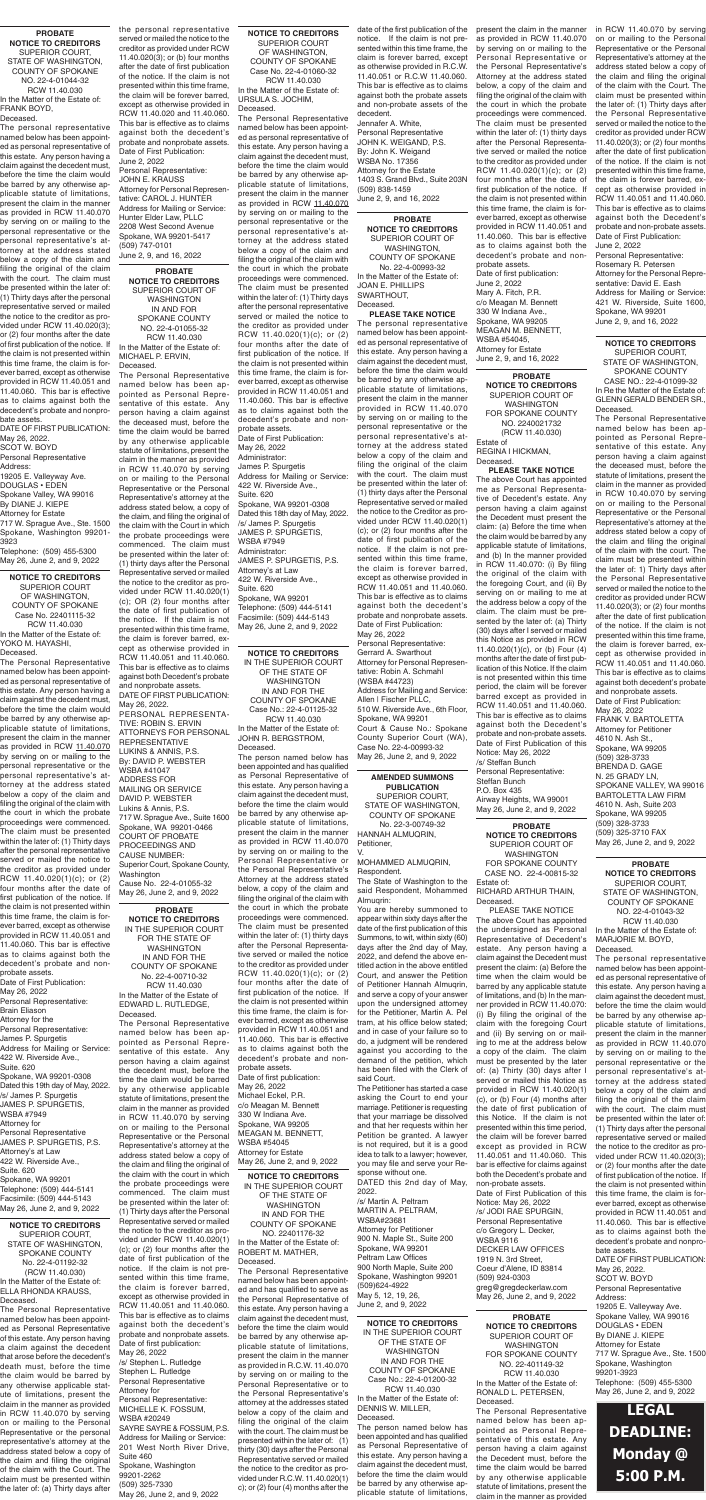## **LEGAL DEADLINE: Monday @ 5:00 P.M.**

#### **AMENDED SUMMONS PUBLICATION** SUPERIOR COURT, STATE OF WASHINGTON,

COUNTY OF SPOKANE No. 22-3-00749-32 HANNAH ALMUQRIN, Petitioner, V.

MOHAMMED ALMUQRIN, Respondent.

You are hereby summoned to appear within sixty days after the date of the first publication of this Summons, to wit, within sixty (60) days after the 2nd day of May, 2022, and defend the above entitled action in the above entitled Court, and answer the Petition of Petitioner Hannah Almuqrin, and serve a copy of your answer upon the undersigned attorney for the Petitioner, Martin A. Pel tram, at his office below stated; and in case of your failure so to do, a judgment will be rendered against you according to the demand of the petition, which has been filed with the Clerk of said Court.

The Petitioner has started a case asking the Court to end your marriage. Petitioner is requesting that your marriage be dissolved and that her requests within her Petition be granted. A lawyer is not required, but it is a good idea to talk to a lawyer; however, you may file and serve your Response without one. DATED this 2nd day of May,

2022. /s/ Martin A. Peltram MARTIN A. PELTRAM, WSBA#23681 Attorney for Petitioner 900 N. Maple St., Suite 200 Spokane, WA 99201 Peltram Law Offices 900 North Maple, Suite 200 Spokane, Washington 99201 (509)624-4922 May 5, 12, 19, 26, June 2, and 9, 2022

**PROBATE NOTICE TO CREDITORS** SUPERIOR COURT, STATE OF WASHINGTON, COUNTY OF SPOKANE NO. 22-4-01044-32 RCW 11.40.030 In the Matter of the Estate of: FRANK BOYD, Deceased.

The personal representative named below has been appointed as personal representative of this estate. Any person having a claim against the decedent must, before the time the claim would be barred by any otherwise applicable statute of limitations, .<br>present the claim in the manner as provided in RCW 11.40.070 by serving on or mailing to the personal representative or the personal representative's attorney at the address stated below a copy of the claim and filing the original of the claim with the court. The claim must be presented within the later of: (1) Thirty days after the personal representative served or mailed the notice to the creditor as provided under RCW 11.40.020(3); or (2) four months after the date of first publication of the notice. If the claim is not presented within this time frame, the claim is forever barred, except as otherwise provided in RCW 11.40.051 and 11.40.060. This bar is effective as to claims against both the decedent's probate and nonpro-

bate assets. DATE OF FIRST PUBLICATION: May 26, 2022.

SCOT W. BOYD Personal Representative

Address:

19205 E. Valleyway Ave. DOUGLAS • EDEN

Spokane Valley, WA 99016 By DIANE J. KIEPE

Attorney for Estate 717 W. Sprague Ave., Ste. 1500 Spokane, Washington 99201-

3923 Telephone: (509) 455-5300 May 26, June 2, and 9, 2022

#### **PROBATE**

**NOTICE TO CREDITORS** SUPERIOR COURT OF WASHINGTON FOR SPOKANE COUNTY NO. 2240021732 (RCW 11.40.030) Estate of REGINA I HICKMAN,

## Deceased.

**PLEASE TAKE NOTICE** The above Court has appointed me as Personal Representative of Decedent's estate. Any person having a claim against the Decedent must present the claim: (a) Before the time when the claim would be barred by any applicable statute of limitations, and (b) In the manner provided in RCW 11.40.070: (i) By filing the original of the claim with the foregoing Court, and (ii) By serving on or mailing to me at the address below a copy of the claim. The claim must be presented by the later of: (a) Thirty (30) days after I served or mailed this Notice as provided in RCW 11.40.020(1)(c), or (b) Four (4) months after the date of first publication of this Notice. If the claim is not presented within this time period, the claim will be forever barred except as provided in RCW 11.40.051 and 11.40.060. This bar is effective as to claims against both the Decedent's probate and non-probate assets. Date of First Publication of this Notice: May 26, 2022 /s/ Steffan Bunch Personal Representative: Steffan Bunch P.O. Box 435 Airway Heights, WA 99001 May 26, June 2, and 9, 2022

**NOTICE TO CREDITORS** IN THE SUPERIOR COURT OF THE STATE OF WASHINGTON IN AND FOR THE COUNTY OF SPOKANE Case No.: 22-4-01125-32 RCW 11.40.030 In the Matter of the Estate of: JOHN R. BERGSTROM, Deceased. The person named below has been appointed and has qualified

as Personal Representative of this estate. Any person having a claim against the decedent must, before the time the claim would be barred by any otherwise applicable statute of limitations, present the claim in the manner as provided in RCW 11.40.070 by serving on or mailing to the Personal Representative or the Personal Representative's Attorney at the address stated

below, a copy of the claim and filing the original of the claim with the court in which the probate proceedings were commenced. The claim must be presented within the later of: (1) thirty days after the Personal Representative served or mailed the notice to the creditor as provided under RCW 11.40.020(1)(c); or (2) four months after the date of first publication of the notice. If the claim is not presented within this time frame, the claim is forever barred, except as otherwise provided in RCW 11.40.051 and 11.40.060. This bar is effective as to claims against both the decedent's probate and nonprobate assets. Date of first publication: May 26, 2022 Michael Eckel, P.R. c/o Meagan M. Bennett 330 W Indiana Ave. Spokane, WA 99205 MEAGAN M. BENNETT, WSBA #54045 Attorney for Estate

May 26, June 2, and 9, 2022

## **PROBATE**

**NOTICE TO CREDITORS** SUPERIOR COURT OF WASHINGTON FOR SPOKANE COUNTY CASE NO. 22-4-00815-32

Estate of: RICHARD ARTHUR THAIN, Deceased.

PLEASE TAKE NOTICE The above Court has appointed the undersigned as Personal Representative of Decedent's estate. Any person having a claim against the Decedent must present the claim: (a) Before the time when the claim would be barred by any applicable statute of limitations, and (b) In the manner provided in RCW 11.40.070: (i) By filing the original of the claim with the foregoing Court and (ii) By serving on or mailing to me at the address below a copy of the claim. The claim must be presented by the later of: (a) Thirty (30) days after I served or mailed this Notice as provided in RCW 11.40.020(1) (c), or (b) Four (4) months after the date of first publication of this Notice. If the claim is not presented within this time period, the claim will be forever barred except as provided in RCW 11.40.051 and 11.40.060. This bar is effective for claims against both the Decedent's probate and non-probate assets. Date of First Publication of this Notice: May 26, 2022 /s/ JODI RAE SPURGIN, Personal Representative c/o Gregory L. Decker, WSBA 9116 DECKER LAW OFFICES 1919 N. 3rd Street, Coeur d'Alene, ID 83814 (509) 924-0303 greg@gregdeckerlaw.com May 26, June 2, and 9, 2022

WASHINGTON IN AND FOR SPOKANE COUNTY NO. 22-4-01055-32 RCW 11.40.030

In the Matter of the Estate of: MICHAEL P. ERVIN, Deceased.

The Personal Representative named below has been appointed as Personal Representative of this estate. Any person having a claim against the deceased must, before the time the claim would be barred by any otherwise applicable statute of limitations, present the claim in the manner as provided in RCW 11.40.070 by serving on or mailing to the Personal Representative or the Personal Representative's attorney at the address stated below, a copy of the claim, and filing the original of the claim with the Court in which the probate proceedings were commenced. The claim must be presented within the later of: (1) thirty days after the Personal Representative served or mailed the notice to the creditor as provided under RCW 11.40.020(1) (c); OR (2) four months after the date of first publication of the notice. If the claim is not presented within this time frame, the claim is forever barred, except as otherwise provided in RCW 11.40.051 and 11.40.060. This bar is effective as to claims against both Decedent's probate and nonprobate assets. DATE OF FIRST PUBLICATION:

May 26, 2022. PERSONAL REPRESENTA-TIVE: ROBIN S. ERVIN ATTORNEYS FOR PERSONAL REPRESENTATIVE LUKINS & ANNIS, P.S. By: DAVID P. WEBSTER WSBA #41047 ADDRESS FOR MAILING OR SERVICE DAVID P. WEBSTER Lukins & Annis, P.S. 717 W. Sprague Ave., Suite 1600 Spokane, WA 99201-0466 COURT OF PROBATE PROCEEDINGS AND CAUSE NUMBER: Superior Court, Spokane County,

Washington

Cause No. 22-4-01055-32 May 26, June 2, and 9, 2022

**NOTICE TO CREDITORS** SUPERIOR COURT OF WASHINGTON, COUNTY OF SPOKANE Case No. 22401115-32 RCW 11.40.030 In the Matter of the Estate of: YOKO M. HAYASHI, Deceased.

The Personal Representative named below has been appointed as personal representative of this estate. Any person having a claim against the decedent must, before the time the claim would be barred by any otherwise applicable statute of limitations, present the claim in the manner as provided in RCW 11.40.070 by serving on or mailing to the personal representative or the personal representative's attorney at the address stated below a copy of the claim and filing the original of the claim with the court in which the probate proceedings were commenced. The claim must be presented within the later of: (1) Thirty days after the personal representative served or mailed the notice to the creditor as provided under RCW 11.40.020(1)(c); or (2) four months after the date of first publication of the notice. If the claim is not presented within this time frame, the claim is forever barred, except as otherwise provided in RCW 11.40.051 and 11.40.060. This bar is effective as to claims against both the decedent's probate and nonprobate assets. Date of First Publication: May 26, 2022 Personal Representative: Brain Eliason Attorney for the Personal Representative: James P. Spurgetis Address for Mailing or Service: 422 W. Riverside Ave., Suite. 620 Spokane, WA 99201-0308 Dated this 19th day of May, 2022. /s/ James P. Spurgetis JAMES P. SPURGETIS, WSBA #7949 Attorney for Personal Representative JAMES P. SPURGETIS, P.S. Attorney's at Law 422 W. Riverside Ave., Suite. 620 Spokane, WA 99201 Telephone: (509) 444-5141 Facsimile: (509) 444-5143 May 26, June 2, and 9, 2022

#### **PROBATE NOTICE TO CREDITORS** IN THE SUPERIOR COURT FOR THE STATE OF WASHINGTON IN AND FOR THE COUNTY OF SPOKANE No. 22-4-00710-32 RCW 11.40.030 In the Matter of the Estate of EDWARD L. RUTLEDGE,

Deceased. The Personal Representative named below has been appointed as Personal Representative of this estate. Any person having a claim against the decedent must, before the time the claim would be barred by any otherwise applicable statute of limitations, present the claim in the manner as provided in RCW 11.40.070 by serving on or mailing to the Personal Representative or the Personal Representative's attorney at the address stated below a copy of the claim and filing the original of the claim with the court in which the probate proceedings were commenced. The claim must be presented within the later of: (1) Thirty days after the Personal Representative served or mailed the notice to the creditor as provided under RCW 11.40.020(1) (c); or (2) four months after the date of first publication of the notice. If the claim is not presented within this time frame, the claim is forever barred, except as otherwise provided in RCW 11.40.051 and 11.40.060. This bar is effective as to claims against both the decedent's probate and nonprobate assets. Date of first publication: May 26, 2022 /s/ Stephen L. Rutledge Stephen L. Rutledge Personal Representative Attorney for Personal Representative: MICHELLE K. FOSSUM, WSBA #20249 SAYRE SAYRE & FOSSUM, P.S. Address for Mailing or Service: 201 West North River Drive, Suite 460 Spokane, Washington 99201-2262 (509) 325-7330

May 26, June 2, and 9, 2022

**PROBATE NOTICE TO CREDITORS** SUPERIOR COURT OF WASHINGTON FOR SPOKANE COUNTY NO. 22-401149-32 RCW 11.40.030 In the Matter of the Estate of: RONALD L. PETERSEN, Deceased.

The Personal Representative named below has been appointed as Personal Representative of this estate. Any person having a claim against the Decedent must, before the time the claim would be barred by any otherwise applicable statute of limitations, present the claim in the manner as provided

**NOTICE TO CREDITORS** SUPERIOR COURT, STATE OF WASHINGTON, SPOKANE COUNTY No. 22-4-01192-32 (RCW 11.40.030) In the Matter of the Estate of: ELLA RHONDA KRAUSS, Deceased.

The Personal Representative named below has been appointed as Personal Representative of this estate. Any person having a claim against the decedent that arose before the decedent's death must, before the time the claim would be barred by any otherwise applicable statute of limitations, present the claim in the manner as provided in RCW 11.40.070 by serving on or mailing to the Personal Representative or the personal representative's attorney at the address stated below a copy of the claim and filing the original of the claim with the Court. The claim must be presented within the later of: (a) Thirty days after

**NOTICE TO CREDITORS** IN THE SUPERIOR COURT OF THE STATE OF WASHINGTON IN AND FOR THE COUNTY OF SPOKANE Case No.: 22-4-01200-32 RCW 11.40.030

In the Matter of the Estate of: DENNIS W. MILLER, Deceased.

The person named below has been appointed and has qualified as Personal Representative of this estate. Any person having a claim against the decedent must, before the time the claim would be barred by any otherwise applicable statute of limitations,

### **PROBATE**

**NOTICE TO CREDITORS** SUPERIOR COURT OF WASHINGTON, COUNTY OF SPOKANE No. 22-4-00993-32 In the Matter of the Estate of: JOAN E. PHILLIPS SWARTHOUT, Deceased.

### **PLEASE TAKE NOTICE**

**PROBATE NOTICE TO CREDITORS** SUPERIOR COURT OF June 2, 9, and 16, 2022

> The personal representative named below has been appointed as personal representative of this estate. Any person having a claim against the decedent must, before the time the claim would be barred by any otherwise applicable statute of limitations, present the claim in the manner provided in RCW 11.40.070 by serving on or mailing to the personal representative or the personal representative's attorney at the address stated below a copy of the claim and filing the original of the claim with the court. The claim must be presented within the later of: (1) thirty days after the Personal Representative served or mailed the notice to the Creditor as provided under RCW 11.40.020(1) (c); or (2) four months after the date of first publication of the notice. If the claim is not presented within this time frame, the claim is forever barred, except as otherwise provided in RCW 11.40.051 and 11.40.060. This bar is effective as to claims against both the decedent's probate and nonprobate assets. Date of First Publication: May 26, 2022

> Personal Representative: Gerrard A. Swarthout Attorney for Personal Representative: Robin A. Schmahl (WSBA #44723) Address for Mailing and Service: Allen | Fischer PLLC, 510 W. Riverside Ave., 6th Floor, Spokane, WA 99201 Court & Cause No.: Spokane County Superior Court (WA), Case No. 22-4-00993-32 May 26, June 2, and 9, 2022

## **NOTICE TO CREDITORS**

SUPERIOR COURT, STATE OF WASHINGTON, SPOKANE COUNTY

CASE NO.: 22-4-01099-32 In Re the Matter of the Estate of: GLENN GERALD BENDER SR., Deceased.

The Personal Representative named below has been appointed as Personal Representative of this estate. Any person having a claim against the deceased must, before the statute of limitations, present the claim in the manner as provided in RCW 10.40.070 by serving on or mailing to the Personal Representative or the Personal Representative's attorney at the address stated below a copy of the claim and filing the original of the claim with the court. The claim must be presented within the later of: 1) Thirty days after the Personal Representative served or mailed the notice to the creditor as provided under RCW 11.40.020(3); or (2) four months after the date of first publication of the notice. If the claim is not presented within this time frame, the claim is forever barred, except as otherwise provided in RCW 11.40.051 and 11.40.060. This bar is effective as to claims against both decedent's probate and nonprobate assets. Date of First Publication: May 26, 2022 FRANK V. BARTOLETTA Attorney for Petitioner 4610 N. Ash St., Spokane, WA 99205 (509) 328-3733 BRENDA D. GAGE N. 25 GRADY LN, SPOKANE VALLEY, WA 99016 BARTOLETTA LAW FIRM 4610 N. Ash, Suite 203 Spokane, WA 99205

(509) 328-3733 (509) 325-3710 FAX

**NOTICE TO CREDITORS** SUPERIOR COURT OF WASHINGTON, COUNTY OF SPOKANE Case No. 22-4-01060-32 RCW 11.40.030 In the Matter of the Estate of:

#### URSULA S. JOCHIM, Deceased.

May 26, June 2, and 9, 2022 **PROBATE NOTICE TO CREDITORS**

The Personal Representative named below has been appointed as personal representative of this estate. Any person having a claim against the decedent must, before the time the claim would be barred by any otherwise applicable statute of limitations, present the claim in the manner as provided in RCW 11.40.070 by serving on or mailing to the personal representative or the personal representative's attorney at the address stated below a copy of the claim and filing the original of the claim with the court in which the probate proceedings were commenced. The claim must be presented within the later of: (1) Thirty days after the personal representative served or mailed the notice to the creditor as provided under RCW 11.40.020(1)(c); or (2) four months after the date of first publication of the notice. If the claim is not presented within this time frame, the claim is forever barred, except as otherwise provided in RCW 11.40.051 and 11.40.060. This bar is effective as to claims against both the decedent's probate and nonprobate assets. Date of First Publication: May 26, 2022 Administrator: James P. Spurgetis Address for Mailing or Service: 422 W. Riverside Ave., Suite. 620 Spokane, WA 99201-0308 Dated this 18th day of May, 2022. /s/ James P. Spurgetis JAMES P. SPURGETIS, WSBA #7949 Administrator: JAMES P. SPURGETIS, P.S. Attorney's at Law 422 W. Riverside Ave., Suite. 620 Spokane, WA 99201 Telephone: (509) 444-5141 Facsimile: (509) 444-5143 May 26, June 2, and 9, 2022

> SUPERIOR COURT, STATE OF WASHINGTON, COUNTY OF SPOKANE NO. 22-4-01043-32 RCW 11.40.030 In the Matter of the Estate of: MARJORIE M. BOYD, Deceased.

The personal representative named below has been appointed as personal representative of this estate. Any person having a claim against the decedent must, before the time the claim would be barred by any otherwise applicable statute of limitations, present the claim in the manner as provided in RCW 11.40.070 by serving on or mailing to the personal representative or the personal representative's attorney at the address stated below a copy of the claim and filing the original of the claim with the court. The claim must be presented within the later of: (1) Thirty days after the personal representative served or mailed the notice to the creditor as provided under RCW 11.40.020(3); or (2) four months after the date of first publication of the notice. If the claim is not presented within this time frame, the claim is forever barred, except as otherwise provided in RCW 11.40.051 and 11.40.060. This bar is effective as to claims against both the decedent's probate and nonprobate assets. DATE OF FIRST PUBLICATION: May 26, 2022. SCOT W. BOYD Personal Representative Address: 19205 E. Valleyway Ave. Spokane Valley, WA 99016

DOUGLAS • EDEN By DIANE J. KIEPE Attorney for Estate 717 W. Sprague Ave., Ste. 1500 Spokane, Washington 99201-3923 Telephone: (509) 455-5300 May 26, June 2, and 9, 2022

**NOTICE TO CREDITORS** IN THE SUPERIOR COURT OF THE STATE OF WASHINGTON IN AND FOR THE COUNTY OF SPOKANE NO. 22401176-32 In the Matter of the Estate of: ROBERT M. MATHER, Deceased. The Personal Representative

named below has been appointed and has qualified to serve as the Personal Representative of this estate. Any person having a claim against the decedent must, before the time the claim would be barred by any otherwise applicable statute of limitations, present the claim in the manner as provided in R.C.W. 11.40.070 by serving on or mailing to the Personal Representative or to the Personal Representative's attorney at the addresses stated below a copy of the claim and filing the original of the claim with the court. The claim must be presented within the later of: (1) thirty (30) days after the Personal Representative served or mailed the notice to the creditor as provided under R.C.W. 11.40.020(1) c); or (2) four (4) months after the

itate of Washington to the said Respondent, Mohammed Alrnuarin:

the personal representative served or mailed the notice to the creditor as provided under RCW 11.40.020(3); or (b) four months after the date of first publication of the notice. If the claim is not presented within this time frame, the claim will be forever barred, except as otherwise provided in RCW 11.40.020 and 11.40.060. This bar is effective as to claims against both the decedent's probate and nonprobate assets. Date of First Publication: June 2, 2022 Personal Representative: JOHN E. KRAUSS Attorney for Personal Representative: CAROL J. HUNTER Address for Mailing or Service: Hunter Elder Law, PLLC 2208 West Second Avenue Spokane, WA 99201-5417 (509) 747-0101

date of the first publication of the notice. If the claim is not presented within this time frame, the claim is forever barred, except as otherwise provided in R.C.W. 11.40.051 or R.C.W 11.40.060. This bar is effective as to claims against both the probate assets and non-probate assets of the decedent.

Jennafer A. White, Personal Representative JOHN K. WEIGAND, P.S. By: John K. Weigand WSBA No. 17356 Attorney for the Estate 1403 S. Grand Blvd., Suite 203N (509) 838-1459 June 2, 9, and 16, 2022

present the claim in the manner as provided in RCW 11.40.070 by serving on or mailing to the Personal Representative or the Personal Representative's Attorney at the address stated below, a copy of the claim and filing the original of the claim with the court in which the probate proceedings were commenced. The claim must be presented within the later of: (1) thirty days after the Personal Representative served or mailed the notice to the creditor as provided under RCW 11.40.020(1)(c); or (2) four months after the date of first publication of the notice. If the claim is not presented within this time frame, the claim is forever barred, except as otherwise provided in RCW 11.40.051 and 11.40.060. This bar is effective as to claims against both the decedent's probate and nonprobate assets. Date of first publication: June 2, 2022 Mary A. Fitch, P.R. c/o Meagan M. Bennett 330 W Indiana Ave., Spokane, WA 99205 MEAGAN M. BENNETT, WSBA #54045, Attorney for Estate June 2, 9, and 16, 2022

in RCW 11.40.070 by serving on or mailing to the Personal Representative or the Personal Representative's attorney at the address stated below a copy of the claim and filing the original of the claim with the Court. The claim must be presented within the later of: (1) Thirty days after the Personal Representative served or mailed the notice to the creditor as provided under RCW 11.40.020(3); or (2) four months after the date of first publication of the notice. If the claim is not presented within this time frame, the claim is forever barred, except as otherwise provided in RCW 11.40.051 and 11.40.060. This bar is effective as to claims against both the Decedent's probate and non-probate assets. Date of First Publication: June 2, 2022

Personal Representative: Rosemary R. Petersen Attorney for the Personal Representative: David E. Eash Address for Mailing or Service: 421 W. Riverside, Suite 1600, Spokane, WA 99201 June 2, 9, and 16, 2022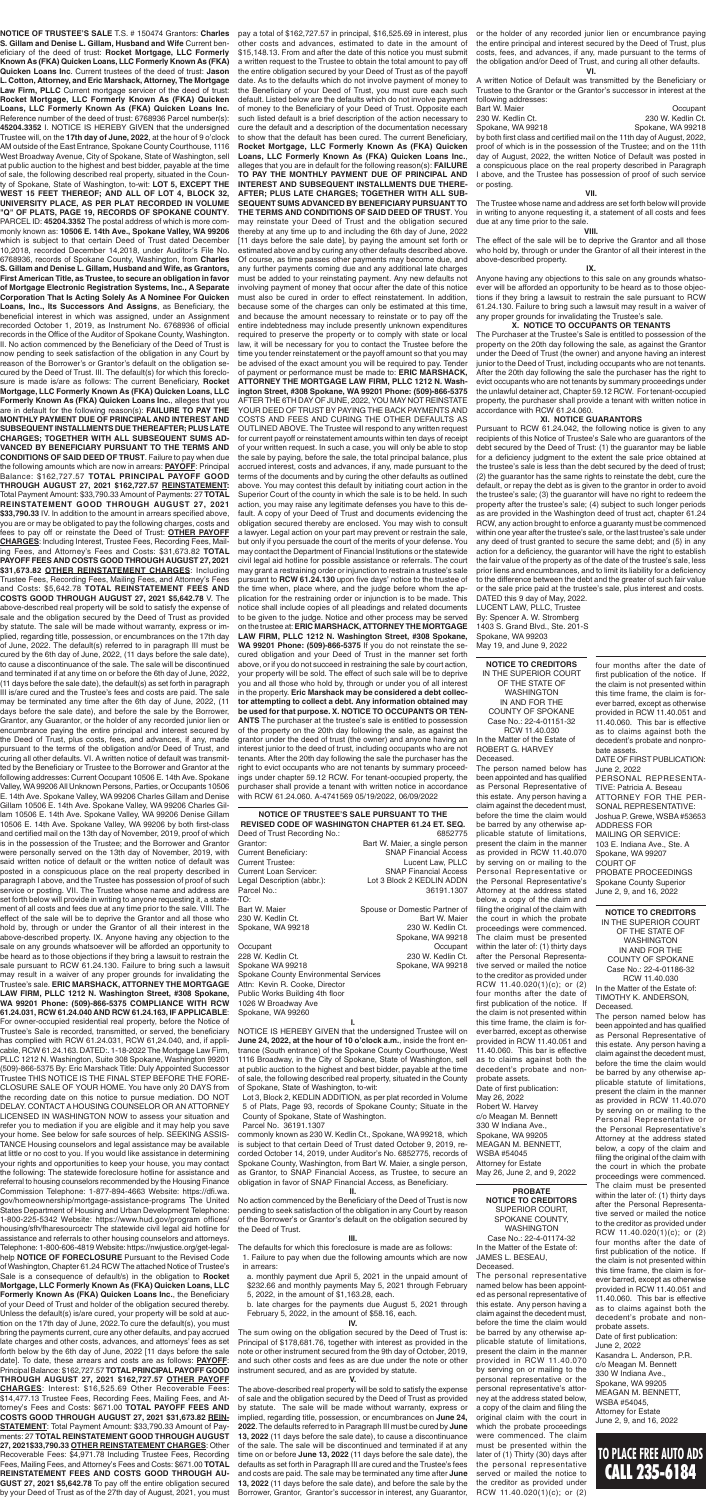**NOTICE OF TRUSTEE'S SALE PURSUANT TO THE REVISED CODE OF WASHINGTON CHAPTER 61.24 ET. SEQ.** Deed of Trust Recording No.: 6852775 Grantor: **Bart W. Maier, a single person** Current Beneficiary: SNAP Financial Access Current Trustee: Lucent Law, PLLC Current Loan Servicer: SNAP Financial Access Legal Description (abbr.): Lot 3 Block 2 KEDLIN ADDN

| Parcel No.:                           | 36191.1307                    |
|---------------------------------------|-------------------------------|
| TO:                                   |                               |
| Bart W. Maier                         | Spouse or Domestic Partner of |
| 230 W. Kedlin Ct.                     | Bart W. Maier                 |
| Spokane, WA 99218                     | 230 W. Kedlin Ct.             |
|                                       | Spokane, WA 99218             |
| Occupant                              | Occupant                      |
| 228 W. Kedlin Ct.                     | 230 W. Kedlin Ct.             |
| Spokane WA 99218                      | Spokane, WA 99218             |
| Spokane County Environmental Services |                               |
| Attn: Kevin R. Cooke, Director        |                               |
| Public Works Building 4th floor       |                               |
| 1026 W Broadway Ave                   |                               |
| Spokane, WA 99260                     |                               |
|                                       |                               |

NOTICE IS HEREBY GIVEN that the undersigned Trustee will on **June 24, 2022, at the hour of 10 o'clock a.m.**, inside the front entrance (South entrance) of the Spokane County Courthouse, West 1116 Broadway, in the City of Spokane, State of Washington, sell at public auction to the highest and best bidder, payable at the time of sale, the following described real property, situated in the County of Spokane, State of Washington, to-wit:

Lot 3, Block 2, KEDLIN ADDITION, as per plat recorded in Volume 5 of Plats, Page 93, records of Spokane County; Situate in the County of Spokane, State of Washington.

Parcel No. 36191.1307

commonly known as 230 W. Kedlin Ct., Spokane, WA 99218, which is subject to that certain Deed of Trust dated October 9, 2019, recorded October 14, 2019, under Auditor's No. 6852775, records of Spokane County, Washington, from Bart W. Maier, a single person, as Grantor, to SNAP Financial Access, as Trustee, to secure an obligation in favor of SNAP Financial Access, as Beneficiary.

#### **II.**

No action commenced by the Beneficiary of the Deed of Trust is now pending to seek satisfaction of the obligation in any Court by reason of the Borrower's or Grantor's default on the obligation secured by the Deed of Trust.

#### **III.**

The defaults for which this foreclosure is made are as follows:

- 1. Failure to pay when due the following amounts which are now in arrears:
- a. monthly payment due April 5, 2021 in the unpaid amount of \$232.66 and monthly payments May 5, 2021 through February 5, 2022, in the amount of \$1,163.28, each.
- b. late charges for the payments due August 5, 2021 through February 5, 2022, in the amount of \$58.16, each.

#### **IV.**

The sum owing on the obligation secured by the Deed of Trust is: Principal of \$178,681.76, together with interest as provided in the note or other instrument secured from the 9th day of October, 2019, and such other costs and fees as are due under the note or other instrument secured, and as are provided by statute.

**V.**

The above-described real property will be sold to satisfy the expense of sale and the obligation secured by the Deed of Trust as provided by statute. The sale will be made without warranty, express or implied, regarding title, possession, or encumbrances on **June 24, 2022**. The defaults referred to in Paragraph III must be cured by **June 13, 2022** (11 days before the sale date), to cause a discontinuance of the sale. The sale will be discontinued and terminated if at any time on or before **June 13, 2022** (11 days before the sale date), the defaults as set forth in Paragraph III are cured and the Trustee's fees and costs are paid. The sale may be terminated any time after **June 13, 2022** (11 days before the sale date), and before the sale by the Borrower, Grantor, Grantor's successor in interest, any Guarantor,

**NOTICE OF TRUSTEE'S SALE** T.S. # 150474 Grantors: **Charles S. Gillam and Denise L. Gillam, Husband and Wife** Current beneficiary of the deed of trust: **Rocket Mortgage, LLC Formerly Known As (FKA) Quicken Loans, LLC Formerly Known As (FKA) Quicken Loans Inc**. Current trustees of the deed of trust: **Jason L. Cotton, Attorney, and Eric Marshack, Attorney, The Mortgage Law Firm, PLLC** Current mortgage servicer of the deed of trust: **Rocket Mortgage, LLC Formerly Known As (FKA) Quicken Loans, LLC Formerly Known As (FKA) Quicken Loans Inc.** Reference number of the deed of trust: 6768936 Parcel number(s): **45204.3352** I. NOTICE IS HEREBY GIVEN that the undersigned Trustee will, on the **17th day of June, 2022**, at the hour of 9 o'clock AM outside of the East Entrance, Spokane County Courthouse, 1116 West Broadway Avenue, City of Spokane, State of Washington, sell at public auction to the highest and best bidder, payable at the time of sale, the following described real property, situated in the County of Spokane, State of Washington, to-wit: **LOT 5, EXCEPT THE WEST 15 FEET THEREOF; AND ALL OF LOT 4, BLOCK 32, UNIVERSITY PLACE, AS PER PLAT RECORDED IN VOLUME "Q" OF PLATS, PAGE 19, RECORDS OF SPOKANE COUNTY**. PARCEL ID: **45204.3352** The postal address of which is more commonly known as: **10506 E. 14th Ave., Spokane Valley, WA 99206**  which is subject to that certain Deed of Trust dated December 10,2018, recorded December 14,2018, under Auditor's File No. 6768936, records of Spokane County, Washington, from **Charles S. Gillam and Denise L. Gillam, Husband and Wife, as Grantors, First American Title, as Trustee, to secure an obligation in favor of Mortgage Electronic Registration Systems, Inc., A Separate Corporation That Is Acting Solely As A Nominee For Quicken Loans, Inc., Its Successors And Assigns**, as Beneficiary, the beneficial interest in which was assigned, under an Assignment recorded October 1, 2019, as Instrument No. 6768936 of official records in the Office of the Auditor of Spokane County, Washington. II. No action commenced by the Beneficiary of the Deed of Trust is now pending to seek satisfaction of the obligation in any Court by reason of the Borrower's or Grantor's default on the obligation secured by the Deed of Trust. III. The default(s) for which this foreclosure is made is/are as follows: The current Beneficiary, **Rocket Mortgage, LLC Formerly Known As (FKA) Quicken Loans, LLC Formerly Known As (FKA) Quicken Loans Inc.**, alleges that you are in default for the following reason(s): **FAILURE TO PAY THE MONTHLY PAYMENT DUE OF PRINCIPAL AND INTEREST AND SUBSEQUENT INSTALLMENTS DUE THEREAFTER; PLUS LATE CHARGES; TOGETHER WITH ALL SUBSEQUENT SUMS AD-VANCED BY BENEFICIARY PURSUANT TO THE TERMS AND CONDITIONS OF SAID DEED OF TRUST**. Failure to pay when due the following amounts which are now in arrears: **PAYOFF**: Principal Balance: \$162,727.57 **TOTAL PRINCIPAL PAYOFF GOOD THROUGH AUGUST 27, 2021 \$162,727.57 REINSTATEMENT:**  Total Payment Amount: \$33,790.33 Amount of Payments: 27 **TOTAL REINSTATEMENT GOOD THROUGH AUGUST 27, 2021 \$33,790.33** IV. In addition to the amount in arrears specified above, you are or may be obligated to pay the following charges, costs and fees to pay off or reinstate the Deed of Trust: **OTHER PAYOFF CHARGES**: Including Interest, Trustee Fees, Recording Fees, Mailing Fees, and Attorney's Fees and Costs: \$31,673.82 **TOTAL PAYOFF FEES AND COSTS GOOD THROUGH AUGUST 27, 2021 \$31,673.82 OTHER REINSTATEMENT CHARGES**: Including Trustee Fees, Recording Fees, Mailing Fees, and Attorney's Fees and Costs: \$5,642.78 **TOTAL REINSTATEMENT FEES AND COSTS GOOD THROUGH AUGUST 27, 2021 \$5,642.78** V. The above-described real property will be sold to satisfy the expense of sale and the obligation secured by the Deed of Trust as provided by statute. The sale will be made without warranty, express or implied, regarding title, possession, or encumbrances on the 17th day of June, 2022. The default(s) referred to in paragraph III must be cured by the 6th day of June, 2022, (11 days before the sale date), to cause a discontinuance of the sale. The sale will be discontinued and terminated if at any time on or before the 6th day of June, 2022, (11 days before the sale date), the default(s) as set forth in paragraph III is/are cured and the Trustee's fees and costs are paid. The sale may be terminated any time after the 6th day of June, 2022, (11 days before the sale date), and before the sale by the Borrower, Grantor, any Guarantor, or the holder of any recorded junior lien or encumbrance paying the entire principal and interest secured by the Deed of Trust, plus costs, fees, and advances, if any, made pursuant to the terms of the obligation and/or Deed of Trust, and curing all other defaults. VI. A written notice of default was transmitted by the Beneficiary or Trustee to the Borrower and Grantor at the following addresses: Current Occupant 10506 E. 14th Ave. Spokane Valley, WA 99206 All Unknown Persons, Parties, or Occupants 10506 E. 14th Ave. Spokane Valley, WA 99206 Charles Gillam and Denise Gillam 10506 E. 14th Ave. Spokane Valley, WA 99206 Charles Gillam 10506 E. 14th Ave. Spokane Valley, WA 99206 Denise Gillam 10506 E. 14th Ave. Spokane Valley, WA 99206 by both first-class and certified mail on the 13th day of November, 2019, proof of which is in the possession of the Trustee; and the Borrower and Grantor were personally served on the 13th day of November, 2019, with said written notice of default or the written notice of default was posted in a conspicuous place on the real property described in aragraph I above, and the Trustee has possession of proof of such service or posting. VII. The Trustee whose name and address are set forth below will provide in writing to anyone requesting it, a statement of all costs and fees due at any time prior to the sale. VIII. The effect of the sale will be to deprive the Grantor and all those who hold by, through or under the Grantor of all their interest in the above-described property. IX. Anyone having any objection to the sale on any grounds whatsoever will be afforded an opportunity to be heard as to those objections if they bring a lawsuit to restrain the sale pursuant to RCW 61.24.130. Failure to bring such a lawsuit may result in a waiver of any proper grounds for invalidating the Trustee's sale. **ERIC MARSHACK, ATTORNEY THE MORTGAGE LAW FIRM, PLLC 1212 N. Washington Street, #308 Spokane, WA 99201 Phone: (509)-866-5375 COMPLIANCE WITH RCW 61.24.031, RCW 61.24.040 AND RCW 61.24.163, IF APPLICABLE**: For owner-occupied residential real property, before the Notice of Trustee's Sale is recorded, transmitted, or served, the beneficiary has complied with RCW 61.24.031, RCW 61,24.040, and, if applicable, RCW 61.24.163. DATED:. 1-18-2022 The Mortgage Law Firm, PLLC 1212 N. Washington, Suite 308 Spokane, Washington 99201 (509)-866-5375 By: Eric Marshack Title: Duly Appointed Successor Trustee THIS NOTICE IS THE FINAL STEP BEFORE THE FORE-CLOSURE SALE OF YOUR HOME. You have only 20 DAYS from the recording date on this notice to pursue mediation. DO NOT DELAY. CONTACT A HOUSING COUNSELOR OR AN ATTORNEY LICENSED IN WASHINGTON NOW to assess your situation and refer you to mediation if you are eligible and it may help you save your home. See below for safe sources of help. SEEKING ASSIS-TANCE Housing counselors and legal assistance may be available at little or no cost to you. If you would like assistance in determining your rights and opportunities to keep your house, you may contact the following: The statewide foreclosure hotline for assistance and referral to housing counselors recommended by the Housing Finance Commission Telephone: 1-877-894-4663 Website: https://dfi.wa. gov/homeownership/mortgage-assistance-programs The United States Department of Housing and Urban Development Telephone: 1-800-225-5342 Website: https://www.hud.gov/program offices/ housing/sfh/fharesourcectr The statewide civil legal aid hotline for assistance and referrals to other housing counselors and attorneys. Telephone: 1-800-606-4819 Website: https://nwjustice.org/get-legalhelp **NOTICE OF FORECLOSURE** Pursuant to the Revised Code of Washington, Chapter 61.24 RCW The attached Notice of Trustee's Sale is a consequence of default/s) in the obligation to **Rocket Mortgage, LLC Formerly Known As (FKA) Quicken Loans, LLC Formerly Known As (FKA) Quicken Loans Inc.**, the Beneficiary of your Deed of Trust and holder of the obligation secured thereby. Unless the default(s) is/are cured, your property will be sold at auction on the 17th day of June, 2022.To cure the default(s), you must bring the payments current, cure any other defaults, and pay accrued late charges and other costs, advances, and attorneys' fees as set forth below by the 6th day of June, 2022 [11 days before the sale date]. To date, these arrears and costs are as follows: **PAYOFF**: Principal Balance: \$162,727.57 **TOTAL PRINCIPAL PAYOFF GOOD THROUGH AUGUST 27, 2021 \$162,727.57 OTHER PAYOFF CHARGES**: Interest: \$16,525.69 Other Recoverable Fees: \$14,477.13 Trustee Fees, Recording Fees, Mailing Fees, and Attorney's Fees and Costs: \$671.00 **TOTAL PAYOFF FEES AND COSTS GOOD THROUGH AUGUST 27, 2021 \$31,673.82 REIN-STATEMENT**: Total Payment Amount: \$33,790.33 Amount of Payments: 27 **TOTAL REINSTATEMENT GOOD THROUGH AUGUST 27, 2021\$33,790.33 OTHER REINSTATEMENT CHARGES**: Other Recoverable Fees: \$4,971.78 Including Trustee Fees, Recording Fees, Mailing Fees, and Attorney's Fees and Costs: \$671.00 **TOTAL REINSTATEMENT FEES AND COSTS GOOD THROUGH AU-GUST 27, 2021 \$5,642.78** To pay off the entire obligation secured by your Deed of Trust as of the 27th day of August, 2021, you must

d in Para<mark>g</mark>rapn I above, and the Trustee has possession of proof of such service or posting. **VII.**

Partner of **PROBATE**  been appointed and has qualified as Personal Representative of this estate. Any person having a claim against the decedent must, before the time the claim would be barred by any otherwise applicable statute of limitations, present the claim in the manner as provided in RCW 11.40.070 by serving on or mailing to the the Personal Representative Attorney at the address stated below, a copy of the claim and filing the original of the claim with the court in which the probate proceedings were commenced. The claim must be presented within the later of: (1) thirty days after the Personal Representative served or mailed the notice to the creditor as provided under RCW 11.40.020(1)(c); or (2) four months after the date of first publication of the notice. If the claim is not presented within this time frame, the claim is forever barred, except as otherwise provided in RCW 11.40.051 and 11.40.060. This bar is effective as to claims against both the decedent's probate and nonprobate assets. Date of first publication: May 26, 2022 Robert W. Harvey c/o Meagan M. Bennett 330 W Indiana Ave., Spokane, WA 99205 MEAGAN M. BENNETT, WSBA #54045 Attorney for Estate May 26, June 2, and 9, 2022

pay a total of \$162,727.57 in principal, \$16,525.69 in interest, plus other costs and advances, estimated to date in the amount of \$15,148.13. From and after the date of this notice you must submit a written request to the Trustee to obtain the total amount to pay off the entire obligation secured by your Deed of Trust as of the payoff date. As to the defaults which do not involve payment of money to the Beneficiary of your Deed of Trust, you must cure each such default. Listed below are the defaults which do not involve payment of money to the Beneficiary of your Deed of Trust. Opposite each such listed default is a brief description of the action necessary to cure the default and a description of the documentation necessary to show that the default has been cured. The current Beneficiary, **Rocket Mortgage, LLC Formerly Known As (FKA) Quicken Loans, LLC Formerly Known As (FKA) Quicken Loans Inc.**, alleges that you are in default for the following reason(s): **FAILURE TO PAY THE MONTHLY PAYMENT DUE OF PRINCIPAL AND INTEREST AND SUBSEQUENT INSTALLMENTS DUE THERE-AFTER; PLUS LATE CHARGES; TOGETHER WITH ALL SUB-SEQUENT SUMS ADVANCED BY BENEFICIARY PURSUANT TO THE TERMS AND CONDITIONS OF SAID DEED OF TRUST**. You may reinstate your Deed of Trust and the obligation secured thereby at any time up to and including the 6th day of June, 2022 [11 days before the sale date], by paying the amount set forth or estimated above and by curing any other defaults described above. Of course, as time passes other payments may become due, and any further payments coming due and any additional late charges must be added to your reinstating payment. Any new defaults not involving payment of money that occur after the date of this notice must also be cured in order to effect reinstatement. In addition, because some of the charges can only be estimated at this time, and because the amount necessary to reinstate or to pay off the entire indebtedness may include presently unknown expenditures required to preserve the property or to comply with state or local law, it will be necessary for you to contact the Trustee before the time you tender reinstatement or the payoff amount so that you may be advised of the exact amount you will be required to pay. Tender of payment or performance must be made to: **ERIC MARSHACK, ATTORNEY THE MORTGAGE LAW FIRM, PLLC 1212 N. Washington Street, #308 Spokane, WA 99201 Phone: (509)-866-5375**  AFTER THE 6TH DAY OF JUNE, 2022, YOU MAY NOT REINSTATE YOUR DEED OF TRUST BY PAYING THE BACK PAYMENTS AND COSTS AND FEES AND CURING THE OTHER DEFAULTS AS OUTLINED ABOVE. The Trustee will respond to any written request for current payoff or reinstatement amounts within ten days of receipt of your written request. In such a case, you will only be able to stop the sale by paying, before the sale, the total principal balance, plus accrued interest, costs and advances, if any, made pursuant to the terms of the documents and by curing the other defaults as outlined above. You may contest this default by initiating court action in the Superior Court of the county in which the sale is to be held. In such action, you may raise any legitimate defenses you have to this default. A copy of your Deed of Trust and documents evidencing the obligation secured thereby are enclosed. You may wish to consult a lawyer. Legal action on your part may prevent or restrain the sale, but only if you persuade the court of the merits of your defense. You may contact the Department of Financial Institutions or the statewide civil legal aid hotline for possible assistance or referrals. The court may grant a restraining order or injunction to restrain a trustee's sale pursuant to **RCW 61.24.130** upon five days' notice to the trustee of the time when, place where, and the judge before whom the application for the restraining order or injunction is to be made. This notice shall include copies of all pleadings and related documents to be given to the judge. Notice and other process may be served on the trustee at: **ERIC MARSHACK, ATTORNEY THE MORTGAGE LAW FIRM, PLLC 1212 N. Washington Street, #308 Spokane, WA 99201 Phone: (509)-866-5375** If you do not reinstate the secured obligation and your Deed of Trust in the manner set forth above, or if you do not succeed in restraining the sale by court action, your property will be sold. The effect of such sale will be to deprive you and all those who hold by, through or under you of all interest in the property. **Eric Marshack may be considered a debt collector attempting to collect a debt. Any information obtained may be used for that purpose. X. NOTICE TO OCCUPANTS OR TEN-ANTS** The purchaser at the trustee's sale is entitled to possession of the property on the 20th day following the sale, as against the grantor under the deed of trust (the owner) and anyone having an interest junior to the deed of trust, including occupants who are not tenants. After the 20th day following the sale the purchaser has the right to evict occupants who are not tenants by summary proceedings under chapter 59.12 RCW. For tenant-occupied property, the purchaser shall provide a tenant with written notice in accordance with RCW 61.24.060. A-4741569 05/19/2022, 06/09/2022

or the holder of any recorded junior lien or encumbrance paying the entire principal and interest secured by the Deed of Trust, plus costs, fees, and advances, if any, made pursuant to the terms of the obligation and/or Deed of Trust, and curing all other defaults. **VI.**

A written Notice of Default was transmitted by the Beneficiary or Trustee to the Grantor or the Grantor's successor in interest at the following addresses:

| Bart W. Maier                                                           | Occupant          |
|-------------------------------------------------------------------------|-------------------|
| 230 W. Kedlin Ct.                                                       | 230 W. Kedlin Ct. |
| Spokane, WA 99218                                                       | Spokane, WA 99218 |
| by both first class and certified mail on the 11th day of August, 2022, |                   |
| proof of which is in the possession of the Trustee; and on the 11th     |                   |
| day of August, 2022, the written Notice of Default was posted in        |                   |
| a conspicuous place on the real property described in Paragraph         |                   |

The Trustee whose name and address are set forth below will provide in writing to anyone requesting it, a statement of all costs and fees due at any time prior to the sale.

### **VIII.**

The effect of the sale will be to deprive the Grantor and all those who hold by, through or under the Grantor of all their interest in the above-described property.

#### **IX.**

Anyone having any objections to this sale on any grounds whatsoever will be afforded an opportunity to be heard as to those objections if they bring a lawsuit to restrain the sale pursuant to RCW 61.24.130. Failure to bring such a lawsuit may result in a waiver of any proper grounds for invalidating the Trustee's sale.

#### **X. NOTICE TO OCCUPANTS OR TENANTS**

The Purchaser at the Trustee's Sale is entitled to possession of the property on the 20th day following the sale, as against the Grantor under the Deed of Trust (the owner) and anyone having an interest junior to the Deed of Trust, including occupants who are not tenants. After the 20th day following the sale the purchaser has the right to evict occupants who are not tenants by summary proceedings under the unlawful detainer act, Chapter 59.12 RCW. For tenant-occupied property, the purchaser shall provide a tenant with written notice in accordance with RCW 61.24.060.

### **XI. NOTICE GUARANTORS**

Pursuant to RCW 61.24.042, the following notice is given to any recipients of this Notice of Trustee's Sale who are guarantors of the debt secured by the Deed of Trust: (1) the guarantor may be liable for a deficiency judgment to the extent the sale price obtained at the trustee's sale is less than the debt secured by the deed of trust; (2) the guarantor has the same rights to reinstate the debt, cure the default, or repay the debt as is given to the grantor in order to avoid the trustee's sale; (3) the guarantor will have no right to redeem the property after the trustee's sale; (4) subject to such longer periods as are provided in the Washington deed of trust act, chapter 61.24 RCW, any action brought to enforce a guaranty must be commenced within one year after the trustee's sale, or the last trustee's sale under any deed of trust granted to secure the same debt; and (5) in any action for a deficiency, the guarantor will have the right to establish the fair value of the property as of the date of the trustee's sale, less prior liens and encumbrances, and to limit its liability for a deficiency to the difference between the debt and the greater of such fair value or the sale price paid at the trustee's sale, plus interest and costs. DATED this 9 day of May, 2022.

LUCENT LAW, PLLC, Trustee By: Spencer A. W. Stromberg 1403 S. Grand Blvd., Ste. 201-S Spokane, WA 99203 May 19, and June 9, 2022

**NOTICE TO CREDITORS** SUPERIOR COURT, SPOKANE COUNTY, WASHINGTON Case No.: 22-4-01174-32 In the Matter of the Estate of: JAMES L. BESEAU, Deceased.

The personal representative named below has been appointed as personal representative of this estate. Any person having a claim against the decedent must, before the time the claim would be barred by any otherwise applicable statute of limitations, present the claim in the manner provided in RCW 11.40.070 by serving on or mailing to the personal representative or the personal representative's attorney at the address stated below, a copy of the claim and filing the original claim with the court in which the probate proceedings were commenced. The claim must be presented within the later of (1) Thirty (30) days after the personal representative served or mailed the notice to the creditor as provided under RCW 11.40.020(1)(c); or (2)

#### **NOTICE TO CREDITORS** IN THE SUPERIOR COURT OF THE STATE OF WASHINGTON IN AND FOR THE COUNTY OF SPOKANE Case No.: 22-4-01186-32 RCW 11.40.030 In the Matter of the Estate of: TIMOTHY K. ANDERSON, Deceased.

The person named below has been appointed and has qualified as Personal Representative of this estate. Any person having a claim against the decedent must, before the time the claim would be barred by any otherwise applicable statute of limitations, present the claim in the manner as provided in RCW 11.40.070 by serving on or mailing to the Personal Representative or the Personal Representative's Attorney at the address stated below, a copy of the claim and filing the original of the claim with the court in which the probate proceedings were commenced. The claim must be presented within the later of: (1) thirty days after the Personal Representative served or mailed the notice to the creditor as provided under RCW 11.40.020(1)(c); or (2) four months after the date of first publication of the notice. If the claim is not presented within this time frame, the claim is forever barred, except as otherwise provided in RCW 11.40.051 and 11.40.060. This bar is effective as to claims against both the decedent's probate and nonprobate assets.

Date of first publication: June 2, 2022

Kasandra L. Anderson, P.R. c/o Meagan M. Bennett 330 W Indiana Ave., Spokane, WA 99205 MEAGAN M. BENNETT, WSBA #54045, Attorney for Estate June 2, 9, and 16, 2022

**NOTICE TO CREDITORS** IN THE SUPERIOR COURT OF THE STATE OF WASHINGTON IN AND FOR THE COUNTY OF SPOKANE Case No.: 22-4-01151-32 RCW 11.40.030 In the Matter of the Estate of ROBERT G. HARVEY Deceased.

The person named below has

Personal Representative or

four months after the date of first publication of the notice. If the claim is not presented within this time frame, the claim is forever barred, except as otherwise provided in RCW 11.40.051 and 11.40.060. This bar is effective as to claims against both the decedent's probate and nonprobate assets.

DATE OF FIRST PUBLICATION: June 2, 2022 PERSONAL REPRESENTA-TIVE: Patricia A. Beseau ATTORNEY FOR THE PER-SONAL REPRESENTATIVE: Joshua P. Grewe, WSBA #53653 ADDRESS FOR MAILING OR SERVICE: 103 E. Indiana Ave., Ste. A Spokane, WA 99207 COURT OF PROBATE PROCEEDINGS

Spokane County Superior June 2, 9, and 16, 2022

# **TO PLACE FREE AUTO ADS** CALL 235-6184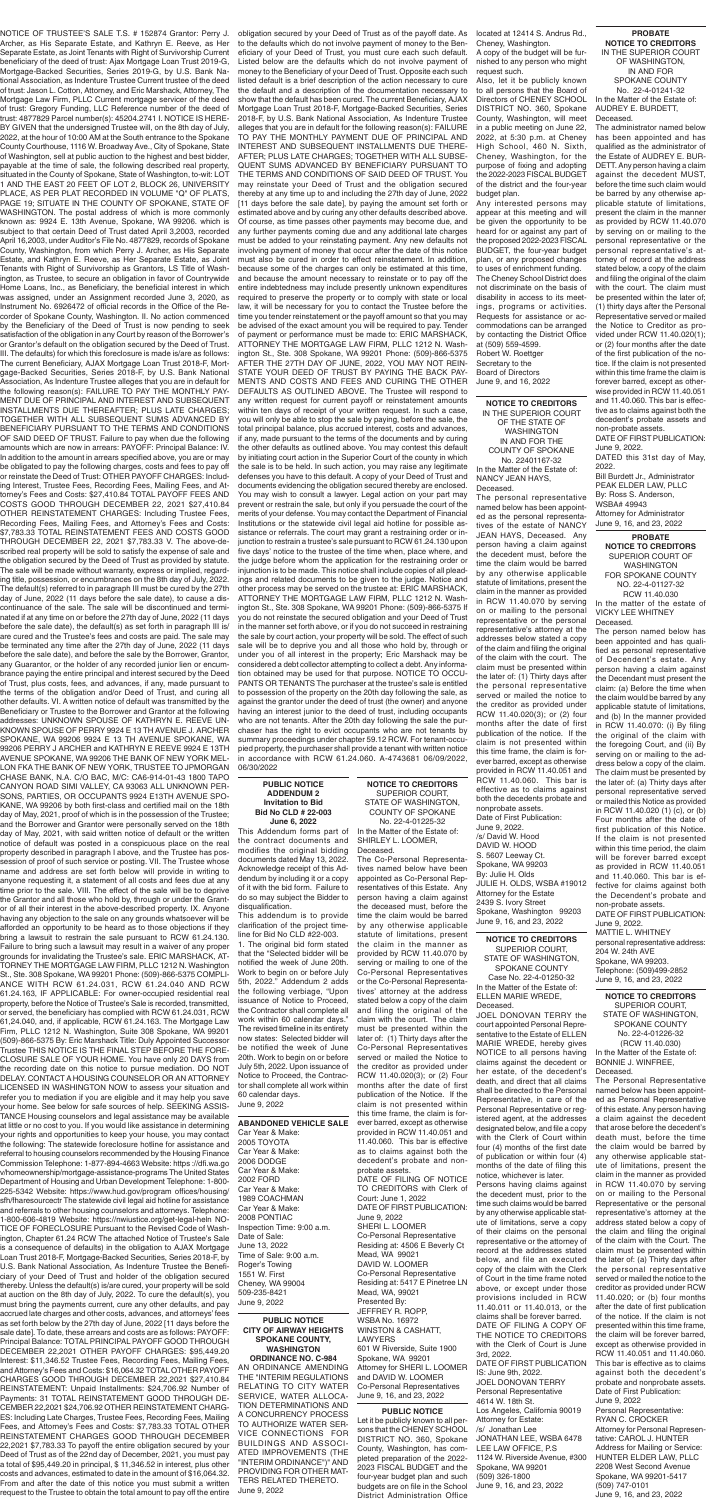#### **PROBATE NOTICE TO CREDITORS** SUPERIOR COURT OF WASHINGTON

FOR SPOKANE COUNTY NO. 22-4-01127-32 RCW 11.40.030

In the matter of the estate of VICKY LEE WHITNEY Deceased.

**June 6, 2022** This Addendum forms part of the contract documents and modifies the original bidding documents dated May 13, 2022. Acknowledge receipt of this Addendum by including it or a copy of it with the bid form. Failure to do so may subject the Bidder to disqualification.

The person named below has been appointed and has qualified as personal representative of Decendent's estate. Any person having a claim against the Decendant must present the claim: (a) Before the time when the claim would be barred by any applicable statute of limitations, and (b) In the manner provided in RCW 11.40.070: (i) By filing the original of the claim with the foregoing Court, and (ii) By serving on or mailing to the address below a copy of the claim. The claim must be presented by the later of: (a) Thirty days after personal representative served or mailed this Notice as provided in RCW 11.40.020 (1) (c), or (b) Four months after the date of first publication of this Notice. If the claim is not presented within this time period, the claim will be forever barred except as provided in RCW 11.40.051 and 11.40.060. This bar is effective for claims against both the Decendent's probate and non-probate assets. DATE OF FIRST PUBLICATION: June 9, 2022. MATTIE L. WHITNEY personal representative address: 204 W. 24th AVE Spokane, WA 99203. Telephone: (509)499-2852 June 9, 16, and 23, 2022

#### **PUBLIC NOTICE ADDENDUM 2 Invitation to Bid Bid No CLD # 22-003**

This addendum is to provide clarification of the project timeline for Bid No CLD #22-003.

1. The original bid form stated that the "Selected bidder will be notified the week of June 20th. Work to begin on or before July 5th, 2022." Addendum 2 adds the following verbiage, "Upon issuance of Notice to Proceed, the Contractor shall complete all work within 60 calendar days." The revised timeline in its entirety now states: Selected bidder will be notified the week of June 20th. Work to begin on or before July 5th, 2022. Upon issuance of Notice to Proceed, the Contractor shall complete all work within 60 calendar days. June 9, 2022

#### **PROBATE NOTICE TO CREDITORS** IN THE SUPERIOR COURT OF WASHINGTON, IN AND FOR SPOKANE COUNTY No. 22-4-01241-32 In the Matter of the Estate of: AUDREY E. BURDETT,

Deceased.

The administrator named below has been appointed and has qualified as the administrator of the Estate of AUDREY E. BUR-DETT. Any person having a claim against the decedent MUST, before the time such claim would be barred by any otherwise applicable statute of limitations, present the claim in the manner as provided by RCW 11.40.070 by serving on or mailing to the personal representative or the personal representative's attorney of record at the address stated below, a copy of the claim and filing the original of the claim with the court. The claim must be presented within the later of; (1) thirty days after the Personal Representative served or mailed the Notice to Creditor as provided under RCW 11.40.020(1); or (2) four months after the date of the first publication of the notice. If the claim is not presented within this time frame the claim is forever barred, except as otherwise provided in RCW 11.40.051 and 11.40.060. This bar is effective as to claims against both the decedent's probate assets and non-probate assets.

DATE OF FIRST PUBLICATION: June 9, 2022.

DATED this 31st day of May, 2022.

Bill Burdett Jr., Administrator PEAK ELDER LAW, PLLC By: Ross S. Anderson, WSBA# 49943 Attorney for Administrator June 9, 16, and 23, 2022

NOTICE OF TRUSTEE'S SALE T.S. # 152874 Grantor: Perry J. Archer, as His Separate Estate, and Kathryn E. Reeve, as Her Separate Estate, as Joint Tenants with Right of Survivorship Current beneficiary of the deed of trust: Ajax Mortgage Loan Trust 2019-G, Mortgage-Backed Securities, Series 2019-G, by U.S. Bank National Association, as Indenture Trustee Current trustee of the deed of trust: Jason L. Cotton, Attorney, and Eric Marshack, Attorney, The Mortgage Law Firm, PLLC Current mortgage servicer of the deed of trust: Gregory Funding, LLC Reference number of the deed of trust: 4877829 Parcel number(s): 45204.2741 I. NOTICE IS HERE-BY GIVEN that the undersigned Trustee will, on the 8th day of July, 2022, at the hour of 10:00 AM at the South entrance to the Spokane County Courthouse, 1116 W. Broadway Ave., City of Spokane, State of Washington, sell at public auction to the highest and best bidder, payable at the time of sale, the following described real property, situated in the County of Spokane, State of Washington, to-wit: LOT 1 AND THE EAST 20 FEET OF LOT 2, BLOCK 26, UNIVERSITY PLACE, AS PER PLAT RECORDED IN VOLUME "Q" OF PLATS, PAGE 19; SITUATE IN THE COUNTY OF SPOKANE, STATE OF WASHINGTON. The postal address of which is more commonly known as: 9924 E. 13th Avenue, Spokane, WA 99206. which is subject to that certain Deed of Trust dated April 3,2003, recorded April 16,2003, under Auditor's File No. 4877829, records of Spokane County, Washington, from which Perry J. Archer, as His Separate Estate, and Kathryn E. Reeve, as Her Separate Estate, as Joint Tenants with Right of Survivorship as Grantors, LS Title of Washington, as Trustee, to secure an obligation in favor of Countrywide Home Loans, Inc., as Beneficiary, the beneficial interest in which was assigned, under an Assignment recorded June 3, 2020, as Instrument No. 6926472 of official records in the Office of the Recorder of Spokane County, Washington. II. No action commenced by the Beneficiary of the Deed of Trust is now pending to seek satisfaction of the obligation in any Court by reason of the Borrower's or Grantor's default on the obligation secured by the Deed of Trust. III. The defaults) for which this foreclosure is made is/are as follows: The current Beneficiary, AJAX Mortgage Loan Trust 2018-F, Mortgage-Backed Securities, Series 2018-F, by U.S. Bank National Association, As Indenture Trustee alleges that you are in default for the following reason(s): FAILURE TO PAY THE MONTHLY PAY-MENT DUE OF PRINCIPAL AND INTEREST AND SUBSEQUENT INSTALLMENTS DUE THEREAFTER; PLUS LATE CHARGES; TOGETHER WITH ALL SUBSEQUENT SUMS ADVANCED BY BENEFICIARY PURSUANT TO THE TERMS AND CONDITIONS OF SAID DEED OF TRUST. Failure to pay when due the following amounts which are now in arrears: PAYOFF: Principal Balance: IV. In addition to the amount in arrears specified above, you are or may be obligated to pay the following charges, costs and fees to pay off or reinstate the Deed of Trust: OTHER PAYOFF CHARGES: Including Interest, Trustee Fees, Recording Fees, Mailing Fees, and Attorney's Fees and Costs: \$27,410.84 TOTAL PAYOFF FEES AND COSTS GOOD THROUGH DECEMBER 22, 2021 \$27,410.84 OTHER REINSTATEMENT CHARGES: Including Trustee Fees, Recording Fees, Mailing Fees, and Attorney's Fees and Costs: \$7,783.33 TOTAL REINSTATEMENT FEES AND COSTS GOOD THROUGH DECEMBER 22, 2021 \$7,783.33 V. The above-described real property will be sold to satisfy the expense of sale and the obligation secured by the Deed of Trust as provided by statute. The sale will be made without warranty, express or implied, regarding title, possession, or encumbrances on the 8th day of July, 2022. The default(s) referred to in paragraph III must be cured by the 27th day of June, 2022 (11 days before the sale date), to cause a discontinuance of the sale. The sale will be discontinued and terminated if at any time on or before the 27th day of June, 2022 (11 days before the sale date), the default(s) as set forth in paragraph III is/ are cured and the Trustee's fees and costs are paid. The sale may be terminated any time after the 27th day of June, 2022 (11 days before the sale date), and before the sale by the Borrower, Grantor, any Guarantor, or the holder of any recorded junior lien or encumbrance paying the entire principal and interest secured by the Deed of Trust, plus costs, fees, and advances, if any, made pursuant to the terms of the obligation and/or Deed of Trust, and curing all other defaults. VI. A written notice of default was transmitted by the Beneficiary or Trustee to the Borrower and Grantor at the following addresses: UNKNOWN SPOUSE OF KATHRYN E. REEVE UN-KNOWN SPOUSE OF PERRY 9924 E 13 TH AVENUE J. ARCHER SPOKANE, WA 99206 9924 E 13 TH AVENUE SPOKANE, WA 99206 PERRY J ARCHER and KATHRYN E REEVE 9924 E 13TH AVENUE SPOKANE, WA 99206 THE BANK OF NEW YORK MEL-LON FKA THE BANK OF NEW YORK, TRUSTEE TO JPMORGAN CHASE BANK, N.A. C/O BAC, M/C: CA6-914-01-43 1800 TAPO CANYON ROAD SIMI VALLEY, CA 93063 ALL UNKNOWN PER-SONS, PARTIES, OR OCCUPANTS 9924 E13TH AVENUE SPO-KANE, WA 99206 by both first-class and certified mail on the 18th day of May, 2021, proof of which is in the possession of the Trustee; and the Borrower and Grantor were personally served on the 18th day of May, 2021, with said written notice of default or the written notice of default was posted in a conspicuous place on the real property described in paragraph I above, and the Trustee has possession of proof of such service or posting. VII. The Trustee whose name and address are set forth below will provide in writing to inyone requesting it, a statement of all costs and fees due a time prior to the sale. VIII. The effect of the sale will be to deprive the Grantor and all those who hold by, through or under the Grantor of all their interest in the above-described property. IX. Anyone having any objection to the sale on any grounds whatsoever will be afforded an opportunity to be heard as to those objections if they bring a lawsuit to restrain the sale pursuant to RCW 61.24.130. Failure to bring such a lawsuit may result in a waiver of any proper grounds for invalidating the Trustee's sale. ERIC MARSHACK, AT-TORNEY THE MORTGAGE LAW FIRM, PLLC 1212 N. Washington St., Ste. 308 Spokane, WA 99201 Phone: (509)-866-5375 COMPLI-ANCE WITH RCW 61.24.031, RCW 61.24.040 AND RCW 61.24.163, IF APPLICABLE: For owner-occupied residential real property, before the Notice of Trustee's Sale is recorded, transmitted, or served, the beneficiary has complied with RCW 61.24.031, RCW 61,24.040, and, if applicable, RCW 61.24.163. The Mortgage Law Firm, PLLC 1212 N. Washington, Suite 308 Spokane, WA 99201 (509)-866-5375 By: Eric Marshack Title: Duly Appointed Successor Trustee THIS NOTICE IS THE FINAL STEP BEFORE THE FORE-CLOSURE SALE OF YOUR HOME. You have only 20 DAYS from the recording date on this notice to pursue mediation. DO NOT DELAY. CONTACT A HOUSING COUNSELOR OR AN ATTORNEY LICENSED IN WASHINGTON NOW to assess your situation and refer you to mediation if you are eligible and it may help you save your home. See below for safe sources of help. SEEKING ASSIS-TANCE Housing counselors and legal assistance may be available at little or no cost to you. If you would like assistance in determining your rights and opportunities to keep your house, you may contact the following: The statewide foreclosure hotline for assistance and referral to housing counselors recommended by the Housing Finance Commission Telephone: 1-877-894-4663 Website: https ://dfi.wa.go v/homeownership/mortgage-assistance-programs The United States Department of Housing and Urban Development Telephone: 1-800- 225-5342 Website: https://www.hud.gov/program offices/housing/ sfh/fharesourcectr The statewide civil legal aid hotline for assistance and referrals to other housing counselors and attorneys. Telephone: 1-800-606-4819 Website: https://nwiustice.org/get-legal-heln NO-TICE OF FORECLOSURE Pursuant to the Revised Code of Washington, Chapter 61.24 RCW The attached Notice of Trustee's Sale is a consequence of defaults) in the obligation to AJAX Mortgage Loan Trust 2018-F, Mortgage-Backed Securities, Series 2018-F, by U.S. Bank National Association, As Indenture Trustee the Beneficiary of your Deed of Trust and holder of the obligation secured thereby. Unless the default(s) is/are cured, your property will be sold at auction on the 8th day of July, 2022. To cure the default(s), you must bring the payments current, cure any other defaults, and pay accrued late charges and other costs, advances, and attorneys' fees as set forth below by the 27th day of June, 2022 [11 days before the sale date]. To date, these arrears and costs are as follows: PAYOFF: Principal Balance: TOTAL PRINCIPAL PAYOFF GOOD THROUGH DECEMBER 22,2021 OTHER PAYOFF CHARGES: \$95,449.20 Interest: \$11,346.52 Trustee Fees, Recording Fees, Mailing Fees, and Attorney's Fees and Costs: \$16,064.32 TOTAL OTHER PAYOFF CHARGES GOOD THROUGH DECEMBER 22,2021 \$27,410.84 REINSTATEMENT: Unpaid Installments: \$24,706.92 Number of Payments: 31 TOTAL REINSTATEMENT GOOD THROUGH DE-CEMBER 22,2021 \$24,706.92 OTHER REINSTATEMENT CHARG-ES: Including Late Charges, Trustee Fees, Recording Fees, Mailing Fees, and Attorney's Fees and Costs: \$7,783.33 TOTAL OTHER REINSTATEMENT CHARGES GOOD THROUGH DECEMBER 22,2021 \$7,783.33 To payoff the entire obligation secured by your Deed of Trust as of the 22nd day of December, 2021, you must pay a total of \$95,449.20 in principal, \$ 11,346.52 in interest, plus other costs and advances, estimated to date in the amount of \$16,064.32. From and after the date of this notice you must submit a written request to the Trustee to obtain the total amount to pay off the entire

**NOTICE TO CREDITORS** SUPERIOR COURT, STATE OF WASHINGTON, SPOKANE COUNTY No. 22-4-01226-32 (RCW 11.40.030) In the Matter of the Estate of: BONNIE J. WINFREE, **Deceased** 

obligation secured by your Deed of Trust as of the payoff date. As to the defaults which do not involve payment of money to the Beneficiary of your Deed of Trust, you must cure each such default. Listed below are the defaults which do not involve payment of money to the Beneficiary of your Deed of Trust. Opposite each such listed default is a brief description of the action necessary to cure the default and a description of the documentation necessary to show that the default has been cured. The current Beneficiary, AJAX Mortgage Loan Trust 2018-F, Mortgage-Backed Securities, Series 2018-F, by U.S. Bank National Association, As Indenture Trustee alleges that you are in default for the following reason(s): FAILURE TO PAY THE MONTHLY PAYMENT DUE OF PRINCIPAL AND INTEREST AND SUBSEQUENT INSTALLMENTS DUE THERE-AFTER; PLUS LATE CHARGES; TOGETHER WITH ALL SUBSE-QUENT SUMS ADVANCED BY BENEFICIARY PURSUANT TO THE TERMS AND CONDITIONS OF SAID DEED OF TRUST. You may reinstate your Deed of Trust and the obligation secured thereby at any time up to and including the 27th day of June, 2022 [11 days before the sale date], by paying the amount set forth or estimated above and by curing any other defaults described above. Of course, as time passes other payments may become due, and any further payments coming due and any additional late charges must be added to your reinstating payment. Any new defaults not involving payment of money that occur after the date of this notice must also be cured in order to effect reinstatement. In addition, because some of the charges can only be estimated at this time, and because the amount necessary to reinstate or to pay off the entire indebtedness may include presently unknown expenditures required to preserve the property or to comply with state or local law, it will be necessary for you to contact the Trustee before the time you tender reinstatement or the payoff amount so that you may be advised of the exact amount you will be required to pay. Tender of payment or performance must be made to: ERIC MARSHACK, ATTORNEY THE MORTGAGE LAW FIRM, PLLC 1212 N. Washington St., Ste. 308 Spokane, WA 99201 Phone: (509)-866-5375 AFTER THE 27TH DAY OF JUNE, 2022, YOU MAY NOT REIN-STATE YOUR DEED OF TRUST BY PAYING THE BACK PAY-MENTS AND COSTS AND FEES AND CURING THE OTHER DEFAULTS AS OUTLINED ABOVE. The Trustee will respond to any written request for current payoff or reinstatement amounts within ten days of receipt of your written request. In such a case, you will only be able to stop the sale by paying, before the sale, the total principal balance, plus accrued interest, costs and advances, if any, made pursuant to the terms of the documents and by curing the other defaults as outlined above. You may contest this default by initiating court action in the Superior Court of the county in which the sale is to be held. In such action, you may raise any legitimate defenses you have to this default. A copy of your Deed of Trust and documents evidencing the obligation secured thereby are enclosed. You may wish to consult a lawyer. Legal action on your part may prevent or restrain the sale, but only if you persuade the court of the merits of your defense. You may contact the Department of Financial Institutions or the statewide civil legal aid hotline for possible assistance or referrals. The court may grant a restraining order or injunction to restrain a trustee's sale pursuant to RCW 61.24.130 upon five days' notice to the trustee of the time when, place where, and the judge before whom the application for the restraining order or injunction is to be made. This notice shall include copies of all pleadings and related documents to be given to the judge. Notice and other process may be served on the trustee at: ERIC MARSHACK, ATTORNEY THE MORTGAGE LAW FIRM, PLLC 1212 N. Washington St., Ste. 308 Spokane, WA 99201 Phone: (509)-866-5375 If you do not reinstate the secured obligation and your Deed of Trust in the manner set forth above, or if you do not succeed in restraining the sale by court action, your property will be sold. The effect of such sale will be to deprive you and all those who hold by, through or under you of all interest in the property; Eric Marshack may be considered a debt collector attempting to collect a debt. Any information obtained may be used for that purpose. NOTICE TO OCCU-PANTS OR TENANTS The purchaser at the trustee's sale is entitled to possession of the property on the 20th day following the sale, as against the grantor under the deed of trust (the owner) and anyone having an interest junior to the deed of trust, including occupants who are not tenants. After the 20th day following the sale the purchaser has the right to evict occupants who are not tenants by summary proceedings under chapter 59.12 RCW. For tenant-occupied property, the purchaser shall provide a tenant with written notice in accordance with RCW 61.24.060. A-4743681 06/09/2022, 06/30/2022

#### **NOTICE TO CREDITORS** IN THE SUPERIOR COURT OF THE STATE OF WASHINGTON IN AND FOR THE

COUNTY OF SPOKANE No. 22401167-32 In the Matter of the Estate of:

NANCY JEAN HAYS,

Deceased. The personal representative named below has been appointed as the personal representatives of the estate of NANCY JEAN HAYS, Deceased. Any person having a claim against the decedent must, before the time the claim would be barred by any otherwise applicable statute of limitations, present the claim in the manner as provided in RCW 11.40.070 by serving on or mailing to the personal representative or the personal representative's attorney at the addresses below stated a copy of the claim and filing the original of the claim with the court. The claim must be presented within the later of: (1) Thirty days after the personal representative served or mailed the notice to the creditor as provided under RCW 11.40.020(3); or (2) four months after the date of first publication of the notice. If the claim is not presented within this time frame, the claim is forever barred, except as otherwise provided in RCW 11.40.051 and RCW 11.40.060. This bar is effective as to claims against both the decedents probate and nonprobate assets. Date of First Publication: June 9, 2022. /s/ David W. Hood DAVID W. HOOD S. 5607 Leeway Ct. Spokane, WA 99203 By: Julie H. Olds

JULIE H. OLDS, WSBA #19012 Attorney for the Estate 2439 S. Ivory Street Spokane, Washington 99203 June 9, 16, and 23, 2022

#### **ABANDONED VEHICLE SALE**

Car Year & Make: 2005 TOYOTA Car Year & Make: 2006 DODGE Car Year & Make: 2002 FORD Car Year & Make: 1989 COACHMAN Car Year & Make: 2008 PONTIAC Inspection Time: 9:00 a.m. Date of Sale: June 13, 2022 Time of Sale: 9:00 a.m. Roger's Towing 1551 W. First Cheney, WA 99004 509-235-8421 June 9, 2022

#### **NOTICE TO CREDITORS** SUPERIOR COURT, STATE OF WASHINGTON, SPOKANE COUNTY Case No. 22-4-01250-32 In the Matter of the Estate of: ELLEN MARIE WREDE, Deceased.

JOEL DONOVAN TERRY the court appointed Personal Representative to the Estate of ELLEN MARIE WREDE, hereby gives NOTICE to all persons having claims against the decedent or her estate, of the decedent's death, and direct that all claims shall be directed to the Personal Representative, in care of the Personal Representative or registered agent, at the addresses designated below, and file a copy with the Clerk of Court within four (4) months of the first date of publication or within four (4) months of the date of filing this notice, whichever is later.

Persons having claims against the decedent must, prior to the time such claims would be barred by any otherwise applicable statute of limitations, serve a copy of their claims on the personal representative or the attorney of record at the addresses stated below, and file an executed copy of the claim with the Clerk of Court in the time frame noted above, or except under those provisions included in RCW 11.40.011 or 11.40.013, or the claims shall be forever barred. DATE OF FILING A COPY OF THE NOTICE TO CREDITORS with the Clerk of Court is June 3rd, 2022. DATE OF FIRST PUBLICATION IS: June 9th, 2022. JOEL DONOVAN TERRY Personal Representative 4614 W. 18th St. Los Angeles, California 90019 Attorney for Estate: /s/ Jonathan Lee JONATHAN LEE, WSBA 6478 LEE LAW OFFICE, P.S 1124 W. Riverside Avenue, #300 Spokane, WA 99201 (509) 326-1800 June 9, 16, and 23, 2022

#### **PUBLIC NOTICE CITY OF AIRWAY HEIGHTS SPOKANE COUNTY, WASHINGTON ORDINANCE NO. C-984**

AN ORDINANCE AMENDING THE "INTERIM REGULATIONS RELATING TO CITY WATER SERVICE, WATER ALLOCA-TION DETERMINATIONS AND A CONCURRENCY PROCESS TO AUTHORIZE WATER SER-VICE CONNECTIONS FOR BUILDINGS AND ASSOCI-ATED IMPROVEMENTS (THE "INTERIM ORDINANCE")" AND PROVIDING FOR OTHER MAT-TERS RELATED THERETO. June 9, 2022

**NOTICE TO CREDITORS** SUPERIOR COURT, STATE OF WASHINGTON, COUNTY OF SPOKANE No. 22-4-01225-32 In the Matter of the Estate of: SHIRLEY L. LOOMER,

Deceased. The Co-Personal Representatives named below have been

appointed as Co-Personal Representatives of this Estate. Any person having a claim against the deceased must, before the time the claim would be barred by any otherwise applicable statute of limitations, present the claim in the manner as provided by RCW 11.40.070 by serving or mailing to one of the Co-Personal Representatives or the Co-Personal Representatives' attorney at the address stated below a copy of the claim and filing the original of the claim with the court. The claim must be presented within the later of: (1) Thirty days after the Co-Personal Representatives served or mailed the Notice to the creditor as provided under RCW 11.40.020(3); or (2) Four months after the date of first publication of the Notice. If the claim is not presented within this time frame, the claim is forever barred, except as otherwise provided in RCW 11.40.051 and 11.40.060. This bar is effective as to claims against both the decedent's probate and nonprobate assets. DATE OF FILING OF NOTICE TO CREDITORS with Clerk of Court: June 1, 2022 DATE OF FIRST PUBLICATION: June 9, 2022 SHERI L. LOOMER Co-Personal Representative Residing at: 4506 E Beverly Ct Mead, WA 99021 DAVID W. LOOMER Co-Personal Representative

Residing at: 5417 E Pinetree LN Mead, WA, 99021 Presented By: JEFFREY R. ROPP, WSBA No. 16972 WINSTON & CASHATT, LAWYERS 601 W Riverside, Suite 1900 Spokane, WA 99201 Attorney for SHERI L. LOOMER and DAVID W. LOOMER Co-Personal Representatives June 9, 16, and 23, 2022

#### **PUBLIC NOTICE**

Let it be publicly known to all persons that the CHENEY SCHOOL DISTRICT NO. 360, Spokane County, Washington, has completed preparation of the 2022- 2023 FISCAL BUDGET and the four-year budget plan and such budgets are on file in the School District Administration Office

located at 12414 S. Andrus Rd., Cheney, Washington.

A copy of the budget will be furnished to any person who might request such.

Also, let it be publicly known to all persons that the Board of Directors of CHENEY SCHOOL DISTRICT NO. 360, Spokane County, Washington, will meet in a public meeting on June 22, 2022, at 5:30 p.m. at Cheney High School, 460 N. Sixth, Cheney, Washington, for the purpose of fixing and adopting the 2022-2023 FISCAL BUDGET of the district and the four-year budget plan.

Any interested persons may appear at this meeting and will be given the opportunity to be heard for or against any part of the proposed 2022-2023 FISCAL BUDGET, the four-year budget plan, or any proposed changes to uses of enrichment funding.

The Cheney School District does not discriminate on the basis of disability in access to its meetings, programs or activities. Requests for assistance or accommodations can be arranged by contacting the District Office at (509) 559-4599. Robert W. Roettger Secretary to the Board of Directors June 9, and 16, 2022

> The Personal Representative named below has been appointed as Personal Representative of this estate. Any person having a claim against the decedent that arose before the decedent's death must, before the time the claim would be barred by any otherwise applicable statute of limitations, present the claim in the manner as provided in RCW 11.40.070 by serving on or mailing to the Personal Representative or the personal representative's attorney at the address stated below a copy of the claim and filing the original of the claim with the Court. The claim must be presented within the later of: (a) Thirty days after the personal representative served or mailed the notice to the creditor as provided under RCW 11.40.020; or (b) four months after the date of first publication of the notice. If the claim is not presented within this time frame, the claim will be forever barred, except as otherwise provided in RCW 11.40.051 and 11.40.060. This bar is effective as to claims against both the decedent's probate and nonprobate assets. Date of First Publication: June 9, 2022 Personal Representative: RYAN C. CROCKER Attorney for Personal Representative: CAROL J. HUNTER Address for Mailing or Service: HUNTER ELDER LAW, PLLC 2208 West Second Avenue Spokane, WA 99201-5417 (509) 747-0101 June 9, 16, and 23, 2022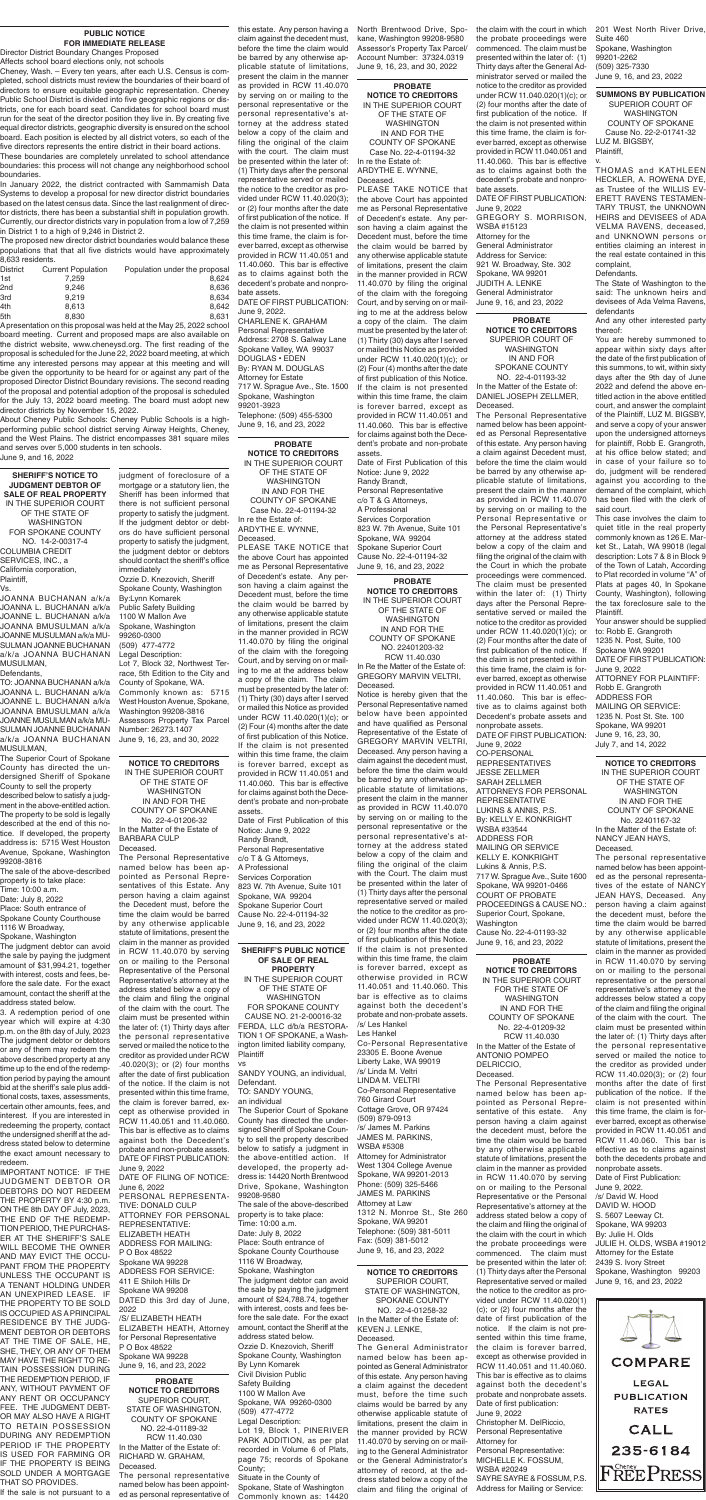**NOTICE TO CREDITORS** IN THE SUPERIOR COURT OF THE STATE OF WASHINGTON IN AND FOR THE COUNTY OF SPOKANE Case No. 22-4-01194-32 In re the Estate of: ARDYTHE E. WYNNE,

Deceased.

PLEASE TAKE NOTICE that the above Court has appointed me as Personal Representative of Decedent's estate. Any person having a claim against the Decedent must, before the time the claim would be barred by any otherwise applicable statute of limitations, present the claim in the manner provided in RCW 11.40.070 by filing the original of the claim with the foregoing Court, and by serving on or mailing to me at the address below a copy of the claim. The claim must be presented by the later of: (1) Thirty (30) days after I served or mailed this Notice as provided under RCW 11.40.020(1)(c); or (2) Four (4) months after the date of first publication of this Notice. If the claim is not presented within this time frame, the claim is forever barred, except as provided in RCW 11.40.051 and 11.40.060. This bar is effective for claims against both the Decedent's probate and non-probate assets.

Date of First Publication of this Notice: June 9, 2022 Randy Brandt, Personal Representative c/o T & G Attorneys, Services Corporation 823 W. 7th Avenue, Suite 101 Spokane, WA 99204 Spokane Superior Court Cause No. 22-4-01194-32 June 9, 16, and 23, 2022

**PROBATE NOTICE TO CREDITORS** IN THE SUPERIOR COURT OF THE STATE OF

WASHINGTON IN AND FOR THE COUNTY OF SPOKANE Case No. 22-4-01194-32

In re the Estate of: ARDYTHE E. WYNNE, Deceased.

PLEASE TAKE NOTICE that the above Court has appointed me as Personal Representative of Decedent's estate. Any person having a claim against the Decedent must, before the time the claim would be barred by any otherwise applicable statute of limitations, present the claim in the manner provided in RCW 11.40.070 by filing the original of the claim with the foregoing Court, and by serving on or mailing to me at the address below a copy of the claim. The claim must be presented by the later of: (1) Thirty (30) days after I served or mailed this Notice as provided under RCW 11.40.020(1)(c); or (2) Four (4) months after the date of first publication of this Notice. If the claim is not presented within this time frame, the claim is forever barred, except as provided in RCW 11.40.051 and 11.40.060. This bar is effective for claims against both the Decedent's probate and non-probate assets. Date of First Publication of this

Notice: June 9, 2022 Randy Brandt, Personal Representative c/o T & G Attorneys, A Professional Services Corporation 823 W. 7th Avenue, Suite 101 Spokane, WA 99204 Spokane Superior Court Cause No. 22-4-01194-32 June 9, 16, and 23, 2022

#### **PUBLIC NOTICE FOR IMMEDIATE RELEASE**

Director District Boundary Changes Proposed Affects school board elections only, not schools

Cheney, Wash. – Every ten years, after each U.S. Census is completed, school districts must review the boundaries of their board of directors to ensure equitable geographic representation. Cheney Public School District is divided into five geographic regions or districts, one for each board seat. Candidates for school board must run for the seat of the director position they live in. By creating five equal director districts, geographic diversity is ensured on the school board. Each position is elected by all district voters, so each of the five directors represents the entire district in their board actions.

These boundaries are completely unrelated to school attendance boundaries: this process will not change any neighborhood school boundaries.

In January 2022, the district contracted with Sammamish Data Systems to develop a proposal for new director district boundaries based on the latest census data. Since the last realignment of director districts, there has been a substantial shift in population growth. Currently, our director districts vary in population from a low of 7,259 in District 1 to a high of 9,246 in District 2.

The proposed new director district boundaries would balance these populations that that all five districts would have approximately 8,633 residents.

| <b>District</b> | <b>Current Population</b> | Population under the proposal |
|-----------------|---------------------------|-------------------------------|
| 1st             | 7.259                     | 8.624                         |
| 2nd             | 9.246                     | 8.636                         |
| 3rd             | 9.219                     | 8.634                         |
| 4th             | 8.613                     | 8.642                         |
| 5th             | 8.830                     | 8.631                         |

A presentation on this proposal was held at the May 25, 2022 school board meeting. Current and proposed maps are also available on the district website, www.cheneysd.org. The first reading of the proposal is scheduled for the June 22, 2022 board meeting, at which time any interested persons may appear at this meeting and will be given the opportunity to be heard for or against any part of the proposed Director District Boundary revisions. The second reading of the proposal and potential adoption of the proposal is scheduled for the July 13, 2022 board meeting. The board must adopt new director districts by November 15, 2022.

> named below has been ap- A Professional The Personal Representative pointed as Personal Representatives of this Estate. Any

About Cheney Public Schools: Cheney Public Schools is a highperforming public school district serving Airway Heights, Cheney, and the West Plains. The district encompasses 381 square miles and serves over 5,000 students in ten schools. June 9, and 16, 2022

**SHERIFF'S NOTICE TO JUDGMENT DEBTOR OF SALE OF REAL PROPERTY** IN THE SUPERIOR COURT OF THE STATE OF WASHINGTON FOR SPOKANE COUNTY NO. 14-2-00317-4 COLUMBIA CREDIT SERVICES, INC., a California corporation, Plaintiff, Vs.

JOANNA BUCHANAN a/k/a JOANNA L. BUCHANAN a/k/a JOANNE L. BUCHANAN a/k/a JOANNA BMUSULMAN a/k/a JOANNE MUSULMAN a/k/a MU-SULMAN JOANNE BUCHANAN a/k/a JOANNA BUCHANAN MUSULMAN,

Defendants,

ATTORNEY FOR PERSONAL property is to take place: June 9, 2022 DATE OF FILING OF NOTICE: June 6, 2022 PERSONAL REPRESENTA-TIVE: DONALD CULP REPRESENTATIVE: ELIZABETH HEATH ADDRESS FOR MAILING: P O Box 48522 Spokane WA 99228 ADDRESS FOR SERVICE: 411 E Shiloh Hills Dr Spokane WA 99208 DATED this 3rd day of June, 2022 /S/ ELIZABETH HEATH ELIZABETH HEATH, Attorney for Personal Representative P O Box 48522 Spokane WA 99228

TO: JOANNA BUCHANAN a/k/a JOANNA L. BUCHANAN a/k/a JOANNE L. BUCHANAN a/k/a JOANNA BMUSULMAN a/k/a JOANNE MUSULMAN a/k/a MU-SULMAN JOANNE BUCHANAN a/k/a JOANNA BUCHANAN MUSULMAN,

The Superior Court of Spokane County has directed the undersigned Sheriff of Spokane County to sell the property

described below to satisfy a judgment in the above-entitled action. The property to be sold is legally described at the end of this notice. If developed, the property address is: 5715 West Houston Avenue, Spokane, Washington 99208-3816

The sale of the above-described property is to take pl Time: 10:00 a.m. Date: July 8, 2022 Place: South entrance of Spokane County Courthouse 1116 W Broadway, Spokane, Washington The judgment debtor can avoid the sale by paying the judgment amount of \$31,994.21, together with interest, costs and fees, before the sale date. For the exact amount, contact the sheriff at the address stated below.

3. A redemption period of one year which will expire at 4:30 p.m. on the 8th day of July, 2023 The judgment debtor or debtors or any of them may redeem the above described property at any time up to the end of the redemption period by paying the amount bid at the sheriff's sale plus additional costs, taxes, assessments, certain other amounts, fees, and interest. If you are interested in redeeming the property, contact the undersigned sheriff at the address stated below to determine the exact amount necessary to redeem.

IMPORTANT NOTICE: IF THE JUDGMENT DEBTOR OR DEBTORS DO NOT REDEEM THE PROPERTY BY 4:30 p.m. ON THE 8th DAY OF July, 2023, THE END OF THE REDEMP-TION PERIOD, THE PURCHAS-ER AT THE SHERIFF'S SALE WILL BECOME THE OWNER AND MAY EVICT THE OCCU-PANT FROM THE PROPERTY UNLESS THE OCCUPANT IS A TENANT HOLDING UNDER AN UNEXPIRED LEASE. IF THE PROPERTY TO BE SOLD IS OCCUPIED AS A PRINCIPAL RESIDENCE BY THE JUDG-MENT DEBTOR OR DEBTORS AT THE TIME OF SALE, HE, SHE, THEY, OR ANY OF THEM MAY HAVE THE RIGHT TO RE-TAIN POSSESSION DURING THE REDEMPTION PERIOD, IF ANY, WITHOUT PAYMENT OF ANY RENT OR OCCUPANCY FEE. THE JUDGMENT DEBT-OR MAY ALSO HAVE A RIGHT TO RETAIN POSSESSION DURING ANY REDEMPTION PERIOD IF THE PROPERTY IS USED FOR FARMING OR IF THE PROPERTY IS BEING SOLD UNDER A MORTGAGE THAT SO PROVIDES.

If the sale is not pursuant to a

#### **SHERIFF'S PUBLIC NOTICE OF SALE OF REAL PROPERTY** IN THE SUPERIOR COURT OF THE STATE OF WASHINGTON FOR SPOKANE COUNTY CAUSE NO. 21-2-00016-32 FERDA, LLC d/b/a RESTORA-TION 1 OF SPOKANE, a Washington limited liability company, **Plaintiff** vs

SANDY YOUNG, an individual, Defendant. TO: SANDY YOUNG,

an individual

The Superior Court of Spokane County has directed the undersigned Sheriff of Spokane County to sell the property described below to satisfy a judgment in the above-entitled action. If developed, the property address is: 14420 North Brentwood Drive, Spokane, Washington 99208-9580

The sale of the above-described Time: 10:00 a.m. Date: July 8, 2022 Place: South entrance of Spokane County Courthouse 1116 W Broadway, Spokane, Washington The judgment debtor can avoid the sale by paying the judgment amount of \$24,788.74, together with interest, costs and fees before the sale date. For the exact amount, contact the Sheriff at the address stated below. Ozzie D. Knezovich, Sheriff Spokane County, Washington By Lynn Komarek Civil Division Public Safety Building 1100 W Mallon Ave Spokane, WA 99260-0300 (509) 477-4772 Legal Description: Lot 19, Block 1, PINERIVER PARK ADDITION, as per plat recorded in Volume 6 of Plats, page 75; records of Spokane County;

Situate in the County of Spokane, State of Washington Commonly known as: 14420

**PROBATE NOTICE TO CREDITORS** SUPERIOR COURT, STATE OF WASHINGTON, COUNTY OF SPOKANE NO. 22-4-01189-32 RCW 11.40.030 In the Matter of the Estate of: RICHARD W. GRAHAM, Deceased.

The personal representative named below has been appointed as personal representative of

**NOTICE TO CREDITORS** IN THE SUPERIOR COURT OF THE STATE OF WASHINGTON IN AND FOR THE COUNTY OF SPOKANE No. 22-4-01206-32 In the Matter of the Estate of BARBARA CULP Deceased.

person having a claim against the Decedent must, before the time the claim would be barred by any otherwise applicable statute of limitations, present the claim in the manner as provided in RCW 11.40.070 by serving on or mailing to the Personal Representative of the Personal Representative's attorney at the address stated below a copy of the claim and filing the original of the claim with the court. The claim must be presented within the later of: (1) Thirty days after the personal representative served or mailed the notice to the creditor as provided under RCW .40.020(3); or (2) four months after the date of first publication of the notice. If the claim is not presented within this time frame, the claim is forever barred, except as otherwise provided in RCW 11.40.051 and 11.40.060. This bar is effective as to claims against both the Decedent's probate and non-probate assets. DATE OF FIRST PUBLICATION:

**PROBATE**  this estate. Any person having a claim against the decedent must, before the time the claim would be barred by any otherwise applicable statute of limitations, present the claim in the manner as provided in RCW 11.40.070 by serving on or mailing to the personal representative or the personal representative's attorney at the address stated below a copy of the claim and filing the original of the claim with the court. The claim must be presented within the later of: (1) Thirty days after the personal representative served or mailed the notice to the creditor as provided under RCW 11.40.020(3); or (2) four months after the date of first publication of the notice. If the claim is not presented within this time frame, the claim is forever barred, except as otherwise provided in RCW 11.40.051 and 11.40.060. This bar is effective as to claims against both the decedent's probate and nonprobate assets. DATE OF FIRST PUBLICATION: June 9, 2022. CHARLENE K. GRAHAM Personal Representative Address: 2708 S. Galway Lane Spokane Valley, WA 99037 DOUGLAS • EDEN By: RYAN M. DOUGLAS Attorney for Estate 717 W. Sprague Ave., Ste. 1500 Spokane, Washington 99201-3923 Telephone: (509) 455-5300 June 9, 16, and 23, 2022

June 9, 16, and 23, 2022

WASHINGTON IN AND FOR SPOKANE COUNTY NO. 22-4-01193-32 In the Matter of the Estate of: DANIEL JOSEPH ZELLMER, Deceased.

The Personal Representative named below has been appointed as Personal Representative of this estate. Any person having a claim against Decedent must, before the time the claim would be barred by any otherwise applicable statute of limitations, present the claim in the manner as provided in RCW 11.40.070 by serving on or mailing to the Personal Representative or the Personal Representative's attorney at the address stated below a copy of the claim and filing the original of the claim with the Court in which the probate proceedings were commenced. The claim must be presented within the later of: (1) Thirty days after the Personal Representative served or mailed the notice to the creditor as provided under RCW 11.40.020(1)(c); or (2) Four months after the date of first publication of the notice. If the claim is not presented within this time frame, the claim is forever barred, except as otherwise provided in RCW 11.40.051 and 11.40.060. This bar is effective as to claims against both Decedent's probate assets and nonprobate assets. DATE OF FIRST PUBLICATION: June 9, 2022 CO-PERSONAL REPRESENTATIVES JESSE ZELLMER SARAH ZELLMER ATTORNEYS FOR PERSONAL

REPRESENTATIVE LUKINS & ANNIS, P.S. By: KELLY E. KONKRIGHT

WSBA #33544 ADDRESS FOR MAILING OR SERVICE KELLY E. KONKRIGHT Lukins & Annis, P.S.

717 W. Sprague Ave., Suite 1600

Spokane, WA 99201-0466 COURT OF PROBATE PROCEEDINGS & CAUSE NO.: Superior Court, Spokane, Washington Cause No. 22-4-01193-32 June 9, 16, and 23, 2022

**PROBATE NOTICE TO CREDITORS** IN THE SUPERIOR COURT FOR THE STATE OF WASHINGTON IN AND FOR THE COUNTY OF SPOKANE No. 22-4-01209-32 RCW 11.40.030 In the Matter of the Estate of ANTONIO POMPEO DELRICCIO, Deceased.

The Personal Representative named below has been appointed as Personal Representative of this estate. Any person having a claim against the decedent must, before the time the claim would be barred by any otherwise applicable statute of limitations, present the claim in the manner as provided in RCW 11.40.070 by serving on or mailing to the Personal Representative or the Personal Representative's attorney at the address stated below a copy of the claim and filing the original of the claim with the court in which the probate proceedings were commenced. The claim must be presented within the later of: (1) Thirty days after the Personal Representative served or mailed the notice to the creditor as provided under RCW 11.40.020(1) (c); or (2) four months after the date of first publication of the notice. If the claim is not presented within this time frame, the claim is forever barred, except as otherwise provided in RCW 11.40.051 and 11.40.060. This bar is effective as to claims against both the decedent's probate and nonprobate assets. Date of first publication: June 9, 2022 Christopher M. DelRiccio, Personal Representative Attorney for Personal Representative: MICHELLE K. FOSSUM, WSBA #20249 SAYRE SAYRE & FOSSUM, P.S. Address for Mailing or Service:



### **PROBATE**

**NOTICE TO CREDITORS** IN THE SUPERIOR COURT OF THE STATE OF WASHINGTON IN AND FOR THE COUNTY OF SPOKANE NO. 22401203-32 RCW 11.40.030

In Re the Matter of the Estate of: GREGORY MARVIN VELTRI, Deceased.

Notice is hereby given that the Personal Representative named below have been appointed and have qualified as Personal Representative of the Estate of GREGORY MARVIN VELTRI, Deceased. Any person having a claim against the decedent must, before the time the claim would be barred by any otherwise applicable statute of limitations, present the claim in the manner as provided in RCW 11.40.070 by serving on or mailing to the personal representative or the personal representative's attorney at the address stated below a copy of the claim and filing the original of the claim with the Court. The claim must

be presented within the later of

(1) Thirty days after the personal representative served or mailed the notice to the creditor as provided under RCW 11.40.020(3); or (2) four months after the date of first publication of this Notice. If the claim is not presented within this time frame, the claim is forever barred, except as otherwise provided in RCW 11.40.051 and 11.40.060. This bar is effective as to claims against both the decedent's probate and non-probate assets. /s/ Les Hankel Les Hankel Co-Personal Representative 23305 E. Boone Avenue Liberty Lake, WA 99019 /s/ Linda M. Veltri LINDA M. VELTRI Co-Personal Representative 760 Girard Court Cottage Grove, OR 97424 (509) 879-0913 /s/ James M. Parkins JAMES M. PARKINS, WSBA #5308 Attorney for Administrator West 1304 College Avenue Spokane, WA 99201-2013 Phone: (509) 325-5466 JAMES M. PARKINS Attorney at Law 1312 N. Monroe St., Ste 260 Spokane, WA 99201 Telephone: (509) 381-5011 Fax: (509) 381-5012 June 9, 16, and 23, 2022

#### **NOTICE TO CREDITORS** SUPERIOR COURT, STATE OF WASHINGTON, SPOKANE COUNTY NO. 22-4-01258-32

In the Matter of the Estate of: KEVEN J. LENKE, Deceased.

The General Administrator named below has been appointed as General Administrator of this estate. Any person having a claim against the decedent must, before the time such claims would be barred by any otherwise applicable statute of limitations, present the claim in the manner provided by RCW 11.40.070 by serving on or mailing to the General Administrator or the General Administrator's attorney of record, at the address stated below a copy of the claim and filing the original of

**NOTICE TO CREDITORS** IN THE SUPERIOR COURT OF THE STATE OF WASHINGTON IN AND FOR THE COUNTY OF SPOKANE No. 22401167-32 In the Matter of the Estate of: NANCY JEAN HAYS, Deceased.

**PROBATE NOTICE TO CREDITORS** SUPERIOR COURT OF the claim with the court in which 201 West North River Drive, the probate proceedings were commenced. The claim must be presented within the later of: (1) Thirty days after the General Administrator served or mailed the notice to the creditor as provided under RCW 11.040.020(1)(c); or (2) four months after the date of first publication of the notice. If the claim is not presented within this time frame, the claim is forever barred, except as otherwise provided in RCW 11.040.051 and 11.40.060. This bar is effective as to claims against both the decedent's probate and nonprobate assets. DATE OF FIRST PUBLICATION: June 9, 2022 GREGORY S. MORRISON, WSBA #15123 Attorney for the General Administrator Address for Service: 921 W. Broadway, Ste. 302 Spokane, WA 99201 JUDITH A. LENKE General Administrator June 9, 16, and 23, 2022

> The personal representative named below has been appointed as the personal representatives of the estate of NANCY JEAN HAYS, Deceased. Any person having a claim against the decedent must, before the time the claim would be barred by any otherwise applicable statute of limitations, present the claim in the manner as provided in RCW 11.40.070 by serving on or mailing to the personal representative or the personal representative's attorney at the addresses below stated a copy of the claim and filing the original of the claim with the court. The claim must be presented within the later of: (1) Thirty days after the personal representative served or mailed the notice to the creditor as provided under RCW 11.40.020(3); or (2) four months after the date of first publication of the notice. If the claim is not presented within this time frame, the claim is forever barred, except as otherwise provided in RCW 11.40.051 and RCW 11.40.060. This bar is effective as to claims against both the decedents probate and nonprobate assets. Date of First Publication: June 9, 2022. /s/ David W. Hood DAVID W. HOOD S. 5607 Leeway Ct. Spokane, WA 99203 By: Julie H. Olds JULIE H. OLDS, WSBA #19012 Attorney for the Estate 2439 S. Ivory Street Spokane, Washington 99203 June 9, 16, and 23, 2022

> **SUMMONS BY PUBLICATION** SUPERIOR COURT OF WASHINGTON COUNTY OF SPOKANE Cause No. 22-2-01741-32 LUZ M. BIGSBY, Plaintiff,

v.

THOMAS and KATHLEEN HECKLER, A. ROWENA DYE, as Trustee of the WILLIS EV-ERETT RAVENS TESTAMEN-TARY TRUST, the UNKNOWN HEIRS and DEVISEES of ADA VELMA RAVENS, deceased, and UNKNOWN persons or entities claiming an interest in the real estate contained in this complaint, Defendants.

The State of Washington to the said: The unknown heirs and devisees of Ada Velma Ravens, defendants

And any other interested party thereof:

You are hereby summoned to appear within sixty days after the date of the first publication of this summons, to wit, within sixty days after the 9th day of June 2022 and defend the above entitled action in the above entitled court, and answer the complaint of the Plaintiff, LUZ M. BIGSBY, and serve a copy of your answer upon the undersigned attorneys for plaintiff, Robb E. Grangroth, at his office below stated; and in case of your failure so to do, judgment will be rendered against you according to the demand of the complaint, which has been filed with the clerk of said court.

This case involves the claim to quiet title in the real property commonly known as 126 E. Market St., Latah, WA 99018 (legal description: Lots 7 & 8 in Block 9 of the Town of Latah, According to Plat recorded in volume "A" of Plats at pages 40, In Spokane County, Washington), following the tax foreclosure sale to the Plaintiff.

Your answer should be supplied to: Robb E. Grangroth 1235 N. Post, Suite, 100 Spokane WA 99201 DATE OF FIRST PUBLICATION: June 9, 2022 ATTORNEY FOR PLAINTIFF: Robb E. Grangroth ADDRESS FOR MAILING OR SERVICE: 1235 N. Post St. Ste. 100 Spokane, WA 99201 June 9, 16, 23, 30, July 7, and 14, 2022

judgment of foreclosure of a

mortgage or a statutory lien, the Sheriff has been informed that there is not sufficient personal property to satisfy the judgment. If the judgment debtor or debtors do have sufficient personal property to satisfy the judgment, the judgment debtor or debtors should contact the sheriff's office immediately Ozzie D. Knezovich, Sheriff Spokane County, Washington By:Lynn Komarek Public Safety Building 1100 W Mallon Ave Spokane, Washington 99260-0300 (509) 477-4772 Legal Description: Lot 7, Block 32, Northwest Terrace, 5th Edition to the City and County of Spokane, WA. Commonly known as: 5715 West Houston Avenue, Spokane, Washington 99208-3816 Assessors Property Tax Parcel Number: 26273.1407 June 9, 16, 23, and 30, 2022

North Brentwood Drive, Spokane, Washington 99208-9580 Assessor's Property Tax Parcel/ Account Number: 37324.0319 June 9, 16, 23, and 30, 2022

Suite 460 Spokane, Washington 99201-2262 (509) 325-7330 June 9, 16, and 23, 2022